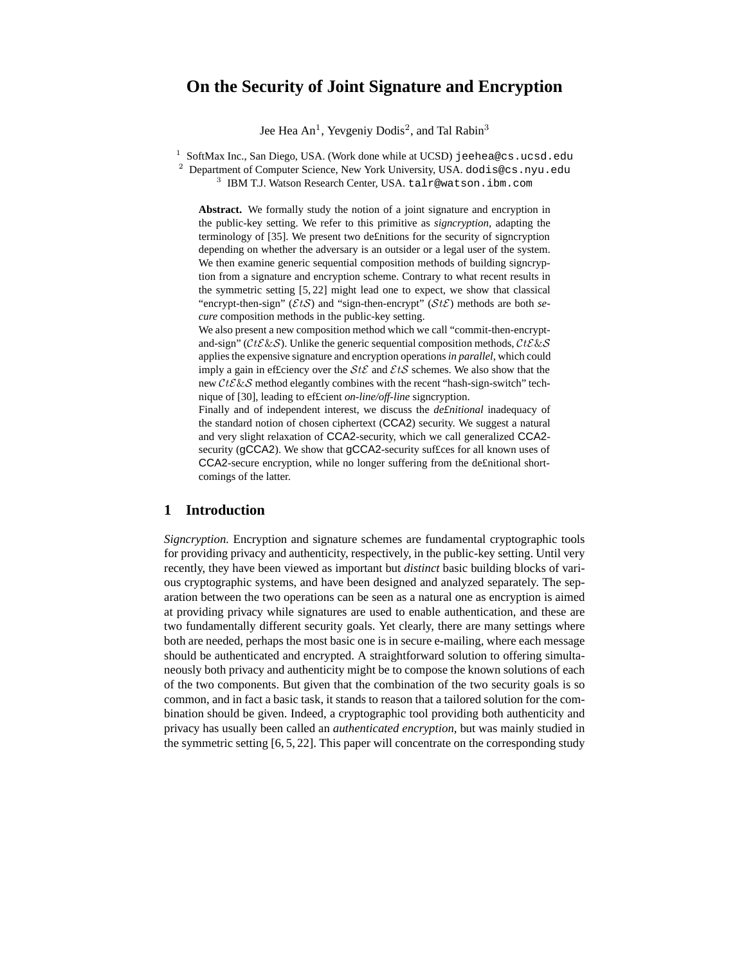# **On the Security of Joint Signature and Encryption**

Jee Hea An<sup>1</sup>, Yevgeniy Dodis<sup>2</sup>, and Tal Rabin<sup>3</sup>

<sup>1</sup> SoftMax Inc., San Diego, USA. (Work done while at UCSD) jeehea@cs.ucsd.edu

<sup>2</sup> Department of Computer Science, New York University, USA. dodis@cs.nyu.edu

3 IBM T.J. Watson Research Center, USA. talr@watson.ibm.com

**Abstract.** We formally study the notion of a joint signature and encryption in the public-key setting. We refer to this primitive as *signcryption*, adapting the terminology of [35]. We present two de£nitions for the security of signcryption depending on whether the adversary is an outsider or a legal user of the system. We then examine generic sequential composition methods of building signcryption from a signature and encryption scheme. Contrary to what recent results in the symmetric setting [5, 22] might lead one to expect, we show that classical "encrypt-then-sign" ( $\mathcal{E}t\mathcal{S}$ ) and "sign-then-encrypt" ( $\mathcal{S}t\mathcal{E}$ ) methods are both *secure* composition methods in the public-key setting.

We also present a new composition method which we call "commit-then-encryptand-sign" ( $\mathcal{C}t\mathcal{E}\&S$ ). Unlike the generic sequential composition methods,  $\mathcal{C}t\mathcal{E}\&S$ applies the expensive signature and encryption operations *in parallel*, which could imply a gain in efficiency over the  $St\mathcal{E}$  and  $Et\mathcal{S}$  schemes. We also show that the new  $\mathcal{C}t\mathcal{E}\&S$  method elegantly combines with the recent "hash-sign-switch" technique of [30], leading to ef£cient *on-line/off-line* signcryption.

Finally and of independent interest, we discuss the *de£nitional* inadequacy of the standard notion of chosen ciphertext (CCA2) security. We suggest a natural and very slight relaxation of CCA2-security, which we call generalized CCA2 security (gCCA2). We show that gCCA2-security suffices for all known uses of CCA2-secure encryption, while no longer suffering from the de£nitional shortcomings of the latter.

# **1 Introduction**

*Signcryption.* Encryption and signature schemes are fundamental cryptographic tools for providing privacy and authenticity, respectively, in the public-key setting. Until very recently, they have been viewed as important but *distinct* basic building blocks of various cryptographic systems, and have been designed and analyzed separately. The separation between the two operations can be seen as a natural one as encryption is aimed at providing privacy while signatures are used to enable authentication, and these are two fundamentally different security goals. Yet clearly, there are many settings where both are needed, perhaps the most basic one is in secure e-mailing, where each message should be authenticated and encrypted. A straightforward solution to offering simultaneously both privacy and authenticity might be to compose the known solutions of each of the two components. But given that the combination of the two security goals is so common, and in fact a basic task, it stands to reason that a tailored solution for the combination should be given. Indeed, a cryptographic tool providing both authenticity and privacy has usually been called an *authenticated encryption*, but was mainly studied in the symmetric setting [6, 5, 22]. This paper will concentrate on the corresponding study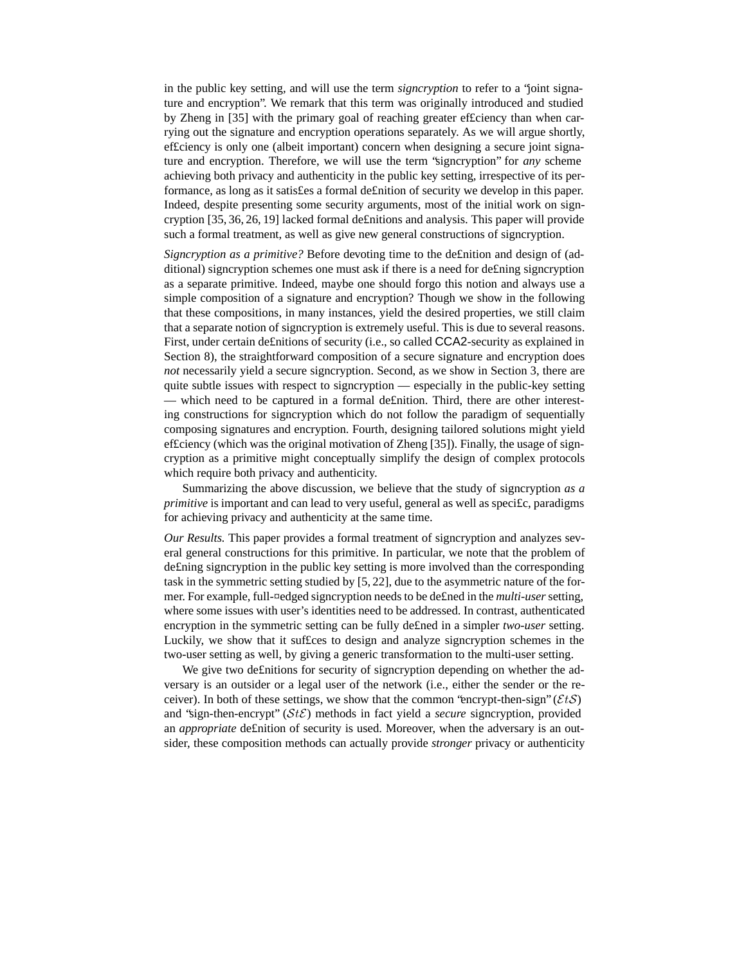in the public key setting, and will use the term *signcryption* to refer to a "joint signature and encryption". We remark that this term was originally introduced and studied by Zheng in [35] with the primary goal of reaching greater ef£ciency than when carrying out the signature and encryption operations separately. As we will argue shortly, ef£ciency is only one (albeit important) concern when designing a secure joint signature and encryption. Therefore, we will use the term "signcryption" for *any* scheme achieving both privacy and authenticity in the public key setting, irrespective of its performance, as long as it satis£es a formal de£nition of security we develop in this paper. Indeed, despite presenting some security arguments, most of the initial work on signcryption [35, 36, 26, 19] lacked formal de£nitions and analysis. This paper will provide such a formal treatment, as well as give new general constructions of signcryption.

*Signcryption as a primitive?* Before devoting time to the de£nition and design of (additional) signcryption schemes one must ask if there is a need for de£ning signcryption as a separate primitive. Indeed, maybe one should forgo this notion and always use a simple composition of a signature and encryption? Though we show in the following that these compositions, in many instances, yield the desired properties, we still claim that a separate notion of signcryption is extremely useful. This is due to several reasons. First, under certain de£nitions of security (i.e., so called CCA2-security as explained in Section 8), the straightforward composition of a secure signature and encryption does *not* necessarily yield a secure signcryption. Second, as we show in Section 3, there are quite subtle issues with respect to signcryption — especially in the public-key setting — which need to be captured in a formal de£nition. Third, there are other interesting constructions for signcryption which do not follow the paradigm of sequentially composing signatures and encryption. Fourth, designing tailored solutions might yield ef£ciency (which was the original motivation of Zheng [35]). Finally, the usage of signcryption as a primitive might conceptually simplify the design of complex protocols which require both privacy and authenticity.

Summarizing the above discussion, we believe that the study of signcryption *as a primitive* is important and can lead to very useful, general as well as specific, paradigms for achieving privacy and authenticity at the same time.

*Our Results.* This paper provides a formal treatment of signcryption and analyzes several general constructions for this primitive. In particular, we note that the problem of de£ning signcryption in the public key setting is more involved than the corresponding task in the symmetric setting studied by [5, 22], due to the asymmetric nature of the former. For example, full-¤edged signcryption needs to be de£ned in the *multi-user*setting, where some issues with user's identities need to be addressed. In contrast, authenticated encryption in the symmetric setting can be fully de£ned in a simpler *two-user* setting. Luckily, we show that it suf£ces to design and analyze signcryption schemes in the two-user setting as well, by giving a generic transformation to the multi-user setting.

We give two de£nitions for security of signcryption depending on whether the adversary is an outsider or a legal user of the network (i.e., either the sender or the receiver). In both of these settings, we show that the common "encrypt-then-sign" ( $E$ t $S$ ) and "sign-then-encrypt"  $(St\mathcal{E})$  methods in fact yield a *secure* signcryption, provided an *appropriate* de£nition of security is used. Moreover, when the adversary is an outsider, these composition methods can actually provide *stronger* privacy or authenticity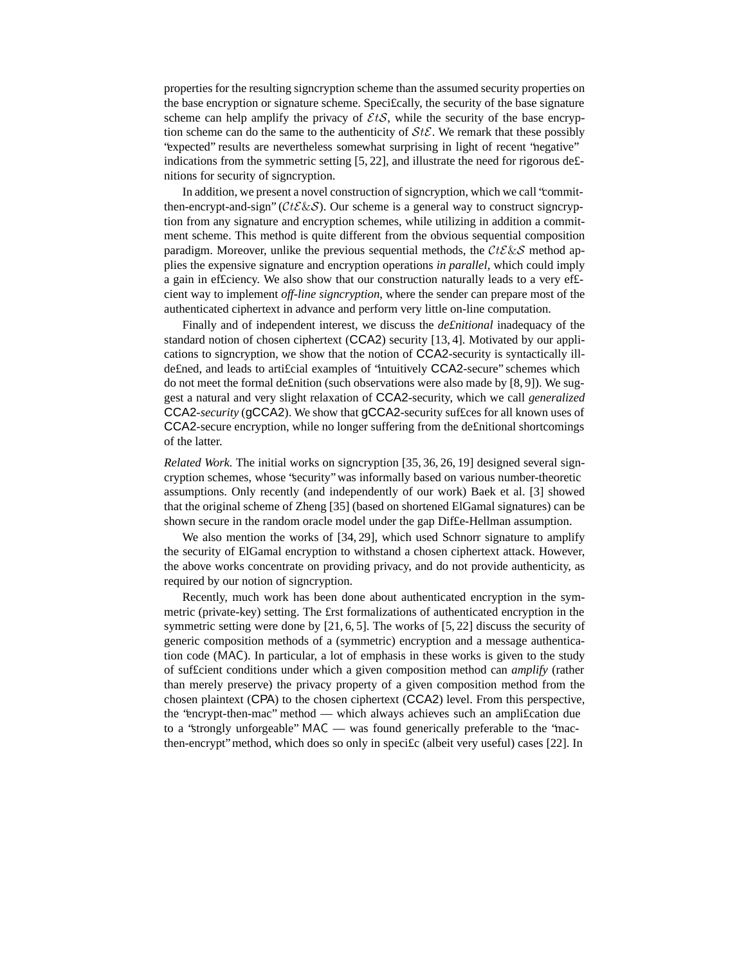properties for the resulting signcryption scheme than the assumed security properties on the base encryption or signature scheme. Speci£cally, the security of the base signature scheme can help amplify the privacy of  $E$ t $S$ , while the security of the base encryption scheme can do the same to the authenticity of  $St\mathcal{E}$ . We remark that these possibly "expected" results are nevertheless somewhat surprising in light of recent "negative" indications from the symmetric setting [5, 22], and illustrate the need for rigorous de£ nitions for security of signcryption.

In addition, we present a novel construction of signcryption, which we call "committhen-encrypt-and-sign" ( $\mathcal{C}t\mathcal{E}\&S$ ). Our scheme is a general way to construct signcryption from any signature and encryption schemes, while utilizing in addition a commitment scheme. This method is quite different from the obvious sequential composition paradigm. Moreover, unlike the previous sequential methods, the  $\mathcal{C}t\mathcal{E}\&S$  method applies the expensive signature and encryption operations *in parallel*, which could imply a gain in ef£ciency. We also show that our construction naturally leads to a very ef£ cient way to implement *off-line signcryption*, where the sender can prepare most of the authenticated ciphertext in advance and perform very little on-line computation.

Finally and of independent interest, we discuss the *de£nitional* inadequacy of the standard notion of chosen ciphertext (CCA2) security [13, 4]. Motivated by our applications to signcryption, we show that the notion of CCA2-security is syntactically illdefined, and leads to artificial examples of 'intuitively CCA2-secure'' schemes which do not meet the formal de£nition (such observations were also made by [8, 9]). We suggest a natural and very slight relaxation of CCA2-security, which we call *generalized* CCA2*-security* (gCCA2). We show that gCCA2-security suf£ces for all known uses of CCA2-secure encryption, while no longer suffering from the de£nitional shortcomings of the latter.

*Related Work.* The initial works on signcryption [35, 36, 26, 19] designed several signcryption schemes, whose "security" was informally based on various number-theoretic assumptions. Only recently (and independently of our work) Baek et al. [3] showed that the original scheme of Zheng [35] (based on shortened ElGamal signatures) can be shown secure in the random oracle model under the gap Dif£e-Hellman assumption.

We also mention the works of [34, 29], which used Schnorr signature to amplify the security of ElGamal encryption to withstand a chosen ciphertext attack. However, the above works concentrate on providing privacy, and do not provide authenticity, as required by our notion of signcryption.

Recently, much work has been done about authenticated encryption in the symmetric (private-key) setting. The £rst formalizations of authenticated encryption in the symmetric setting were done by  $[21, 6, 5]$ . The works of  $[5, 22]$  discuss the security of generic composition methods of a (symmetric) encryption and a message authentication code (MAC). In particular, a lot of emphasis in these works is given to the study of suf£cient conditions under which a given composition method can *amplify* (rather than merely preserve) the privacy property of a given composition method from the chosen plaintext (CPA) to the chosen ciphertext (CCA2) level. From this perspective, the "encrypt-then-mac" method — which always achieves such an ampli£cation due to a "strongly unforgeable" MAC — was found generically preferable to the "macthen-encrypt" method, which does so only in speci£c (albeit very useful) cases [22]. In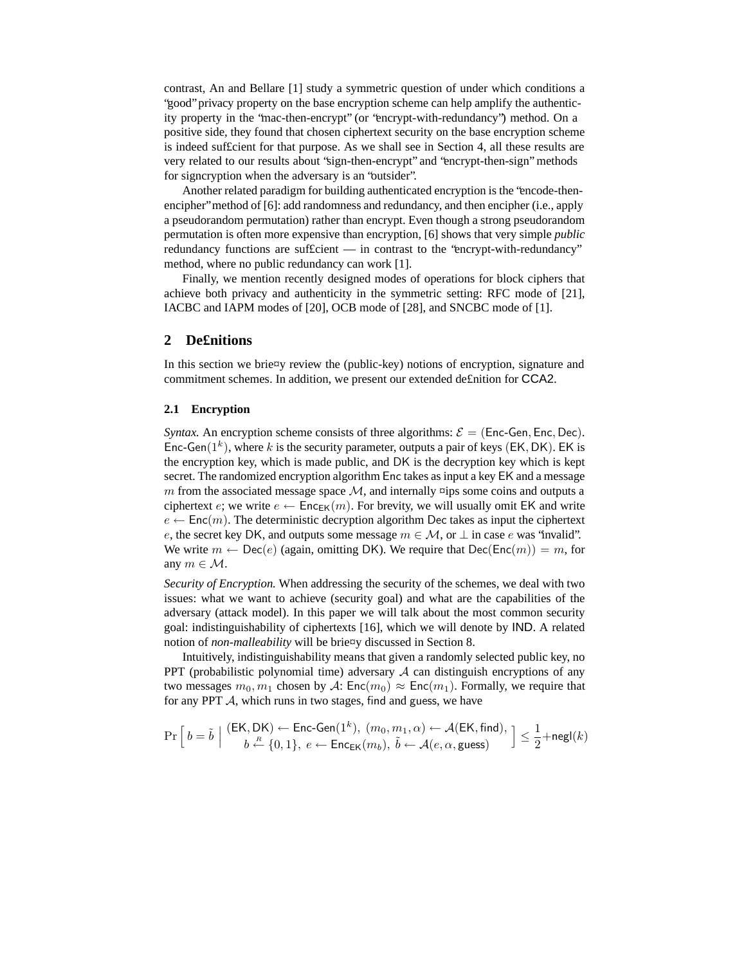contrast, An and Bellare [1] study a symmetric question of under which conditions a "good" privacy property on the base encryption scheme can help amplify the authenticity property in the "mac-then-encrypt" (or "encrypt-with-redundancy") method. On a positive side, they found that chosen ciphertext security on the base encryption scheme is indeed suf£cient for that purpose. As we shall see in Section 4, all these results are very related to our results about "sign-then-encrypt" and "encrypt-then-sign" methods for signcryption when the adversary is an "outsider".

Another related paradigm for building authenticated encryption is the "encode-thenencipher" method of [6]: add randomness and redundancy, and then encipher (i.e., apply a pseudorandom permutation) rather than encrypt. Even though a strong pseudorandom permutation is often more expensive than encryption, [6] shows that very simple *public* redundancy functions are suf£cient — in contrast to the "encrypt-with-redundancy" method, where no public redundancy can work [1].

Finally, we mention recently designed modes of operations for block ciphers that achieve both privacy and authenticity in the symmetric setting: RFC mode of [21], IACBC and IAPM modes of [20], OCB mode of [28], and SNCBC mode of [1].

### **2 De£nitions**

In this section we brie¤y review the (public-key) notions of encryption, signature and commitment schemes. In addition, we present our extended de£nition for CCA2.

#### **2.1 Encryption**

*Syntax.* An encryption scheme consists of three algorithms:  $\mathcal{E} = (Enc-Gen, Enc, Dec)$ . Enc-Gen( $1^k$ ), where k is the security parameter, outputs a pair of keys (EK, DK). EK is the encryption key, which is made public, and DK is the decryption key which is kept secret. The randomized encryption algorithm Enc takes as input a key EK and a message m from the associated message space  $\mathcal{M}$ , and internally  $\alpha$  ips some coins and outputs a ciphertext e; we write  $e \leftarrow \mathsf{Enc}_{\mathsf{EK}}(m)$ . For brevity, we will usually omit EK and write  $e \leftarrow \text{Enc}(m)$ . The deterministic decryption algorithm Dec takes as input the ciphertext e, the secret key DK, and outputs some message  $m \in \mathcal{M}$ , or  $\perp$  in case e was 'invalid''. We write  $m \leftarrow \text{Dec}(e)$  (again, omitting DK). We require that  $\text{Dec}(\text{Enc}(m)) = m$ , for any  $m \in \mathcal{M}$ .

*Security of Encryption.* When addressing the security of the schemes, we deal with two issues: what we want to achieve (security goal) and what are the capabilities of the adversary (attack model). In this paper we will talk about the most common security goal: indistinguishability of ciphertexts [16], which we will denote by IND. A related notion of *non-malleability* will be brie¤y discussed in Section 8.

Intuitively, indistinguishability means that given a randomly selected public key, no PPT (probabilistic polynomial time) adversary  $\mathcal A$  can distinguish encryptions of any two messages  $m_0, m_1$  chosen by A: Enc $(m_0) \approx \text{Enc}(m_1)$ . Formally, we require that for any PPT  $\mathcal A$ , which runs in two stages, find and guess, we have

$$
\Pr\Big[\,b=\tilde{b}\,\,\Big|\,\frac{(\mathsf{EK},\mathsf{DK})\leftarrow \mathsf{Enc\text{-}}\mathsf{Gen}(1^{k}),\ (m_0,m_1,\alpha)\leftarrow \mathcal{A}(\mathsf{EK},\mathsf{find}),}{b\leftarrow \mathcal{A}(e,\alpha,\mathsf{guess})}\,\Big] \leq \frac{1}{2} + \mathsf{negl}(k)
$$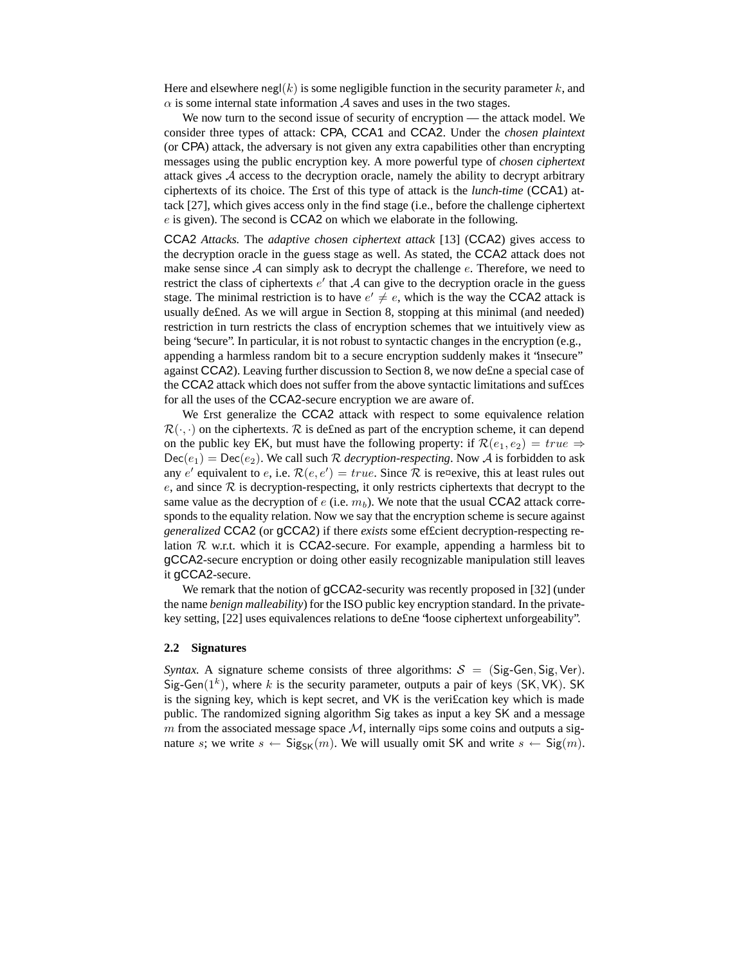Here and elsewhere negl(k) is some negligible function in the security parameter k, and  $\alpha$  is some internal state information A saves and uses in the two stages.

We now turn to the second issue of security of encryption — the attack model. We consider three types of attack: CPA, CCA1 and CCA2. Under the *chosen plaintext* (or CPA) attack, the adversary is not given any extra capabilities other than encrypting messages using the public encryption key. A more powerful type of *chosen ciphertext* attack gives  $A$  access to the decryption oracle, namely the ability to decrypt arbitrary ciphertexts of its choice. The £rst of this type of attack is the *lunch-time* (CCA1) attack [27], which gives access only in the find stage (i.e., before the challenge ciphertext e is given). The second is CCA2 on which we elaborate in the following.

CCA2 *Attacks.* The *adaptive chosen ciphertext attack* [13] (CCA2) gives access to the decryption oracle in the guess stage as well. As stated, the CCA2 attack does not make sense since  $A$  can simply ask to decrypt the challenge  $e$ . Therefore, we need to restrict the class of ciphertexts  $e'$  that  $A$  can give to the decryption oracle in the guess stage. The minimal restriction is to have  $e' \neq e$ , which is the way the CCA2 attack is usually de£ned. As we will argue in Section 8, stopping at this minimal (and needed) restriction in turn restricts the class of encryption schemes that we intuitively view as being "secure". In particular, it is not robust to syntactic changes in the encryption (e.g., appending a harmless random bit to a secure encryption suddenly makes it "insecure" against CCA2). Leaving further discussion to Section 8, we now de£ne a special case of the CCA2 attack which does not suffer from the above syntactic limitations and suf£ces for all the uses of the CCA2-secure encryption we are aware of.

We £rst generalize the CCA2 attack with respect to some equivalence relation  $\mathcal{R}(\cdot, \cdot)$  on the ciphertexts. R is defined as part of the encryption scheme, it can depend on the public key EK, but must have the following property: if  $\mathcal{R}(e_1, e_2) = true \Rightarrow$  $Dec(e_1) = Dec(e_2)$ . We call such R *decryption-respecting*. Now A is forbidden to ask any e' equivalent to e, i.e.  $\mathcal{R}(e, e') = true$ . Since  $\mathcal{R}$  is re¤exive, this at least rules out  $e$ , and since  $R$  is decryption-respecting, it only restricts ciphertexts that decrypt to the same value as the decryption of  $e$  (i.e.  $m_b$ ). We note that the usual CCA2 attack corresponds to the equality relation. Now we say that the encryption scheme is secure against *generalized* CCA2 (or gCCA2) if there *exists* some ef£cient decryption-respecting relation  $\mathcal R$  w.r.t. which it is CCA2-secure. For example, appending a harmless bit to gCCA2-secure encryption or doing other easily recognizable manipulation still leaves it gCCA2-secure.

We remark that the notion of gCCA2-security was recently proposed in [32] (under the name *benign malleability*) for the ISO public key encryption standard. In the privatekey setting, [22] uses equivalences relations to de£ne "loose ciphertext unforgeability".

#### **2.2 Signatures**

*Syntax.* A signature scheme consists of three algorithms:  $S = (Sig-Gen, Sig, Ver)$ . Sig-Gen( $1^k$ ), where k is the security parameter, outputs a pair of keys (SK, VK). SK is the signing key, which is kept secret, and VK is the veri£cation key which is made public. The randomized signing algorithm Sig takes as input a key SK and a message m from the associated message space  $\mathcal{M}$ , internally  $\Xi$ ips some coins and outputs a signature s; we write  $s \leftarrow$  Sig<sub>SK</sub> $(m)$ . We will usually omit SK and write  $s \leftarrow$  Sig $(m)$ .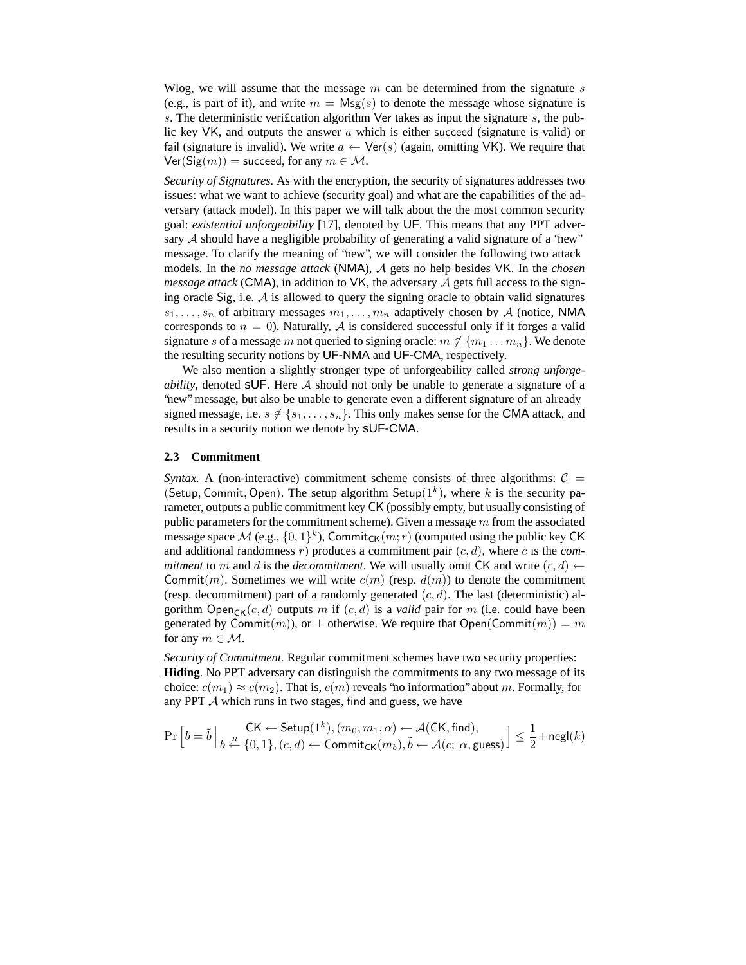Wlog, we will assume that the message  $m$  can be determined from the signature  $s$ (e.g., is part of it), and write  $m = \text{Msg}(s)$  to denote the message whose signature is s. The deterministic verification algorithm Ver takes as input the signature s, the public key  $VK$ , and outputs the answer  $\alpha$  which is either succeed (signature is valid) or fail (signature is invalid). We write  $a \leftarrow \text{Ver}(s)$  (again, omitting VK). We require that  $\text{Ver}(Sig(m)) =$  succeed, for any  $m \in \mathcal{M}$ .

*Security of Signatures.* As with the encryption, the security of signatures addresses two issues: what we want to achieve (security goal) and what are the capabilities of the adversary (attack model). In this paper we will talk about the the most common security goal: *existential unforgeability* [17], denoted by UF. This means that any PPT adversary  $A$  should have a negligible probability of generating a valid signature of a 'new" message. To clarify the meaning of "new", we will consider the following two attack models. In the *no message attack* (NMA), A gets no help besides VK. In the *chosen message attack* (CMA), in addition to VK, the adversary  $A$  gets full access to the signing oracle Sig, i.e.  $A$  is allowed to query the signing oracle to obtain valid signatures  $s_1, \ldots, s_n$  of arbitrary messages  $m_1, \ldots, m_n$  adaptively chosen by A (notice, NMA corresponds to  $n = 0$ ). Naturally, A is considered successful only if it forges a valid signature s of a message m not queried to signing oracle:  $m \notin \{m_1 \ldots m_n\}$ . We denote the resulting security notions by UF-NMA and UF-CMA, respectively.

We also mention a slightly stronger type of unforgeability called *strong unforgeability*, denoted sUF. Here A should not only be unable to generate a signature of a "new" message, but also be unable to generate even a different signature of an already signed message, i.e.  $s \notin \{s_1, \ldots, s_n\}$ . This only makes sense for the CMA attack, and results in a security notion we denote by sUF-CMA.

#### **2.3 Commitment**

*Syntax.* A (non-interactive) commitment scheme consists of three algorithms:  $C =$ (Setup, Commit, Open). The setup algorithm Setup $(1<sup>k</sup>)$ , where k is the security parameter, outputs a public commitment key CK (possibly empty, but usually consisting of public parameters for the commitment scheme). Given a message  $m$  from the associated message space M (e.g.,  $\{0,1\}^k$ ), Commit<sub>CK</sub> $(m;r)$  (computed using the public key CK and additional randomness r) produces a commitment pair (c, d), where c is the *commitment* to m and d is the *decommitment*. We will usually omit CK and write  $(c, d)$   $\leftarrow$ Commit $(m)$ . Sometimes we will write  $c(m)$  (resp.  $d(m)$ ) to denote the commitment (resp. decommitment) part of a randomly generated  $(c, d)$ . The last (deterministic) algorithm Open<sub>CK</sub> $(c, d)$  outputs m if  $(c, d)$  is a *valid* pair for m (i.e. could have been generated by Commit $(m)$ , or  $\perp$  otherwise. We require that Open(Commit $(m)$ ) = m for any  $m \in \mathcal{M}$ .

*Security of Commitment.* Regular commitment schemes have two security properties: **Hiding**. No PPT adversary can distinguish the commitments to any two message of its choice:  $c(m_1) \approx c(m_2)$ . That is,  $c(m)$  reveals 'no information' about m. Formally, for any PPT A which runs in two stages, find and guess, we have

$$
\Pr\Big[b=\tilde{b} \, \Big| \, \underset{b \ \stackrel{R}{\leftarrow} \ \{0,1\}, \, (c,d) \leftarrow \textsf{Setup}(1^k), (m_0, m_1, \alpha) \leftarrow \mathcal{A}(\textsf{CK}, \textsf{find}), \\ \textsf{Commitz} (m_b), \tilde{b} \leftarrow \mathcal{A}(c; \ \alpha, \textsf{guess}) \, \Big] \leq \frac{1}{2} + \mathsf{negl}(k)
$$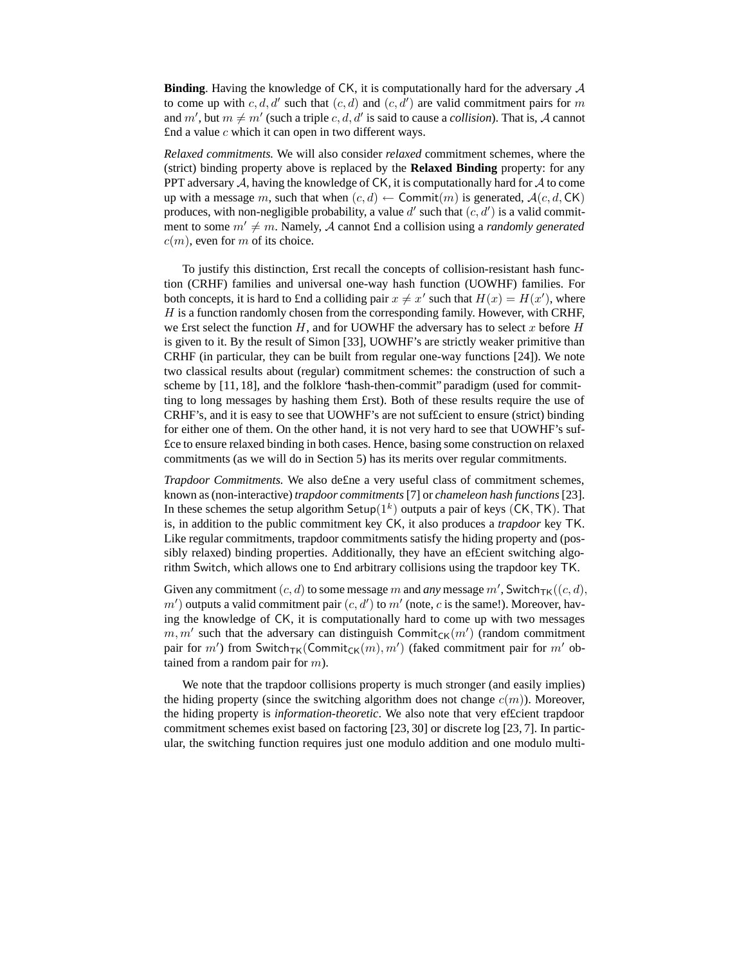**Binding**. Having the knowledge of CK, it is computationally hard for the adversary A to come up with  $c, d, d'$  such that  $(c, d)$  and  $(c, d')$  are valid commitment pairs for m and m', but  $m \neq m'$  (such a triple c, d, d' is said to cause a *collision*). That is, A cannot  $\text{find a value } c \text{ which it can open in two different ways.}$ 

*Relaxed commitments.* We will also consider *relaxed* commitment schemes, where the (strict) binding property above is replaced by the **Relaxed Binding** property: for any PPT adversary A, having the knowledge of CK, it is computationally hard for A to come up with a message m, such that when  $(c, d) \leftarrow$  Commit $(m)$  is generated,  $A(c, d, CK)$ produces, with non-negligible probability, a value d' such that  $(c, d')$  is a valid commitment to some  $m' \neq m$ . Namely, A cannot £nd a collision using a *randomly generated*  $c(m)$ , even for m of its choice.

To justify this distinction, £rst recall the concepts of collision-resistant hash function (CRHF) families and universal one-way hash function (UOWHF) families. For both concepts, it is hard to find a colliding pair  $x \neq x'$  such that  $H(x) = H(x')$ , where  $H$  is a function randomly chosen from the corresponding family. However, with CRHF, we £rst select the function  $H$ , and for UOWHF the adversary has to select x before  $H$ is given to it. By the result of Simon [33], UOWHF's are strictly weaker primitive than CRHF (in particular, they can be built from regular one-way functions [24]). We note two classical results about (regular) commitment schemes: the construction of such a scheme by [11, 18], and the folklore "hash-then-commit" paradigm (used for committing to long messages by hashing them £rst). Both of these results require the use of CRHF's, and it is easy to see that UOWHF's are not suf£cient to ensure (strict) binding for either one of them. On the other hand, it is not very hard to see that UOWHF's suf- £ce to ensure relaxed binding in both cases. Hence, basing some construction on relaxed commitments (as we will do in Section 5) has its merits over regular commitments.

*Trapdoor Commitments.* We also de£ne a very useful class of commitment schemes, known as(non-interactive) *trapdoor commitments*[7] or *chameleon hash functions*[23]. In these schemes the setup algorithm  $\mathsf{Setup}(1^k)$  outputs a pair of keys (CK, TK). That is, in addition to the public commitment key CK, it also produces a *trapdoor* key TK. Like regular commitments, trapdoor commitments satisfy the hiding property and (possibly relaxed) binding properties. Additionally, they have an ef£cient switching algorithm Switch, which allows one to £nd arbitrary collisions using the trapdoor key TK.

Given any commitment  $(c, d)$  to some message m and *any* message m', Switch<sub>TK</sub>( $(c, d)$ ,  $m'$ ) outputs a valid commitment pair  $(c, d')$  to  $m'$  (note, c is the same!). Moreover, having the knowledge of CK, it is computationally hard to come up with two messages  $m, m'$  such that the adversary can distinguish Commit<sub>CK</sub>(m') (random commitment pair for m') from Switch<sub>TK</sub>(Commit<sub>CK</sub> $(m), m'$ ) (faked commitment pair for m' obtained from a random pair for  $m$ ).

We note that the trapdoor collisions property is much stronger (and easily implies) the hiding property (since the switching algorithm does not change  $c(m)$ ). Moreover, the hiding property is *information-theoretic*. We also note that very ef£cient trapdoor commitment schemes exist based on factoring [23, 30] or discrete log [23, 7]. In particular, the switching function requires just one modulo addition and one modulo multi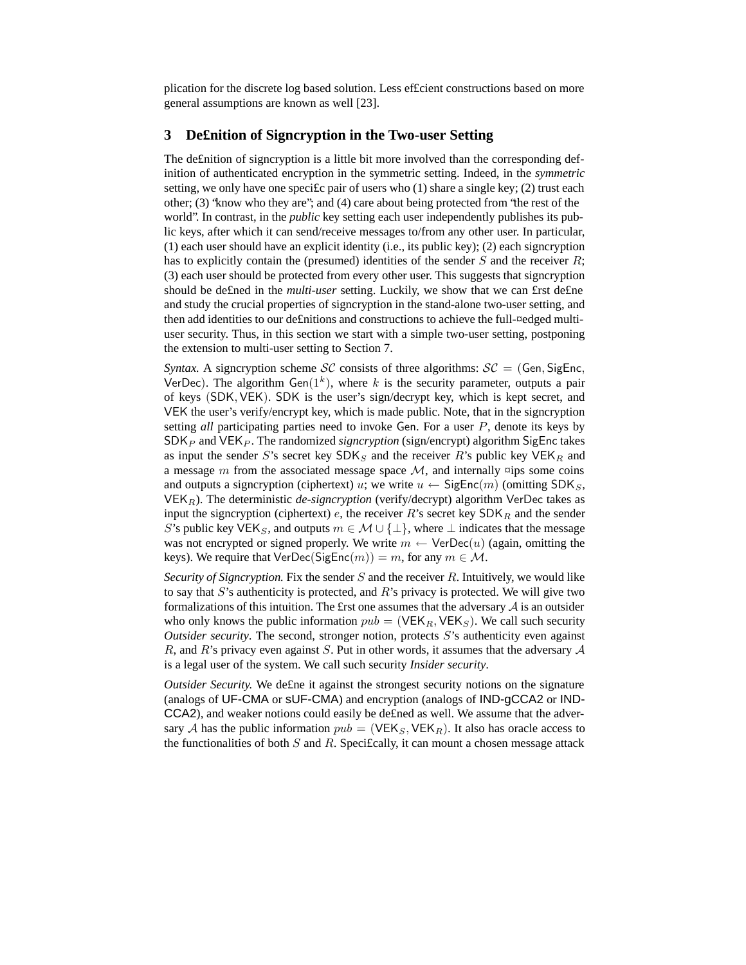plication for the discrete log based solution. Less ef£cient constructions based on more general assumptions are known as well [23].

## **3 De£nition of Signcryption in the Two-user Setting**

The de£nition of signcryption is a little bit more involved than the corresponding definition of authenticated encryption in the symmetric setting. Indeed, in the *symmetric* setting, we only have one specific pair of users who  $(1)$  share a single key;  $(2)$  trust each other; (3) "know who they are"; and (4) care about being protected from "the rest of the world". In contrast, in the *public* key setting each user independently publishes its public keys, after which it can send/receive messages to/from any other user. In particular, (1) each user should have an explicit identity (i.e., its public key); (2) each signcryption has to explicitly contain the (presumed) identities of the sender  $S$  and the receiver  $R$ ; (3) each user should be protected from every other user. This suggests that signcryption should be de£ned in the *multi-user* setting. Luckily, we show that we can £rst de£ne and study the crucial properties of signcryption in the stand-alone two-user setting, and then add identities to our de£nitions and constructions to achieve the full-¤edged multiuser security. Thus, in this section we start with a simple two-user setting, postponing the extension to multi-user setting to Section 7.

*Syntax.* A signcryption scheme  $SC$  consists of three algorithms:  $SC = (Gen, SigEnc,)$ VerDec). The algorithm Gen $(1^k)$ , where k is the security parameter, outputs a pair of keys (SDK,VEK). SDK is the user's sign/decrypt key, which is kept secret, and VEK the user's verify/encrypt key, which is made public. Note, that in the signcryption setting *all* participating parties need to invoke Gen. For a user P, denote its keys by  $SDK<sub>P</sub>$  and  $VEK<sub>P</sub>$ . The randomized *signcryption* (sign/encrypt) algorithm SigEnc takes as input the sender S's secret key  $SDK_S$  and the receiver R's public key  $VEK_R$  and a message m from the associated message space  $M$ , and internally  $\Xi$ ips some coins and outputs a signcryption (ciphertext) u; we write  $u \leftarrow$  SigEnc $(m)$  (omitting SDK<sub>S</sub>, VEK<sub>R</sub>). The deterministic *de-signcryption* (verify/decrypt) algorithm VerDec takes as input the signcryption (ciphertext) e, the receiver  $R$ 's secret key  $SDK_R$  and the sender S's public key VEK<sub>S</sub>, and outputs  $m \in \mathcal{M} \cup \{\perp\}$ , where  $\perp$  indicates that the message was not encrypted or signed properly. We write  $m \leftarrow \text{VerDec}(u)$  (again, omitting the keys). We require that  $\text{VerDec}(\text{SigEnc}(m)) = m$ , for any  $m \in \mathcal{M}$ .

*Security of Signcryption.* Fix the sender S and the receiver R. Intuitively, we would like to say that  $S$ 's authenticity is protected, and  $R$ 's privacy is protected. We will give two formalizations of this intuition. The £rst one assumes that the adversary  $\mathcal A$  is an outsider who only knows the public information  $pub = (VEK_R, VEK_S)$ . We call such security *Outsider security*. The second, stronger notion, protects S's authenticity even against R, and R's privacy even against S. Put in other words, it assumes that the adversary  $A$ is a legal user of the system. We call such security *Insider security*.

*Outsider Security.* We de£ne it against the strongest security notions on the signature (analogs of UF-CMA or sUF-CMA) and encryption (analogs of IND-gCCA2 or IND-CCA2), and weaker notions could easily be de£ned as well. We assume that the adversary A has the public information  $pub = (VEK<sub>S</sub>, VEK<sub>R</sub>)$ . It also has oracle access to the functionalities of both  $S$  and  $R$ . Specifically, it can mount a chosen message attack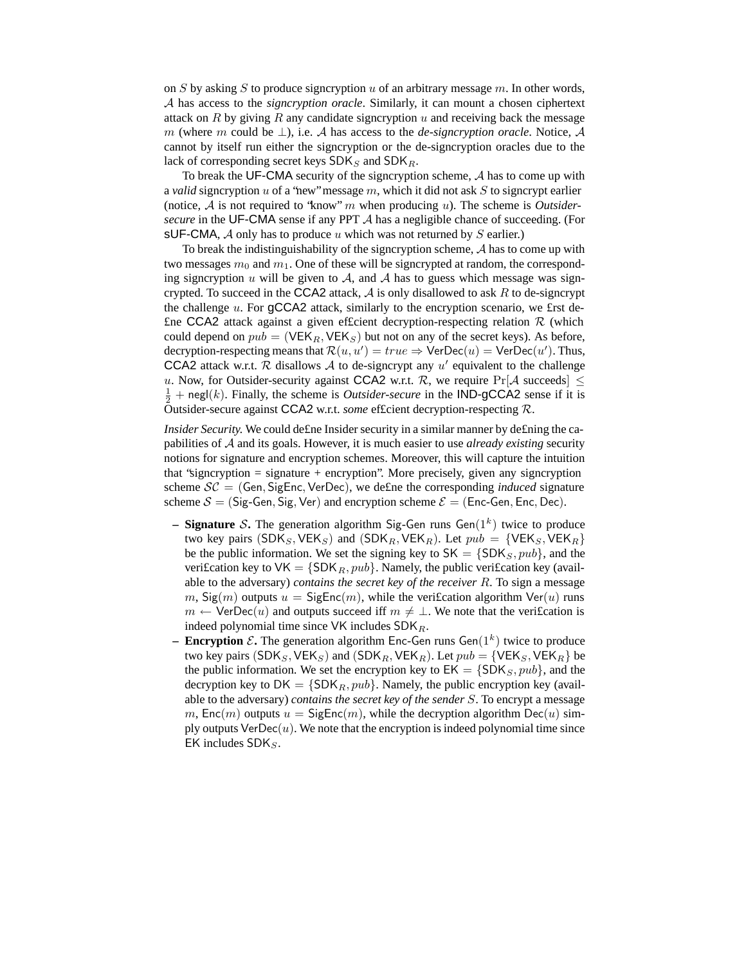on S by asking S to produce signcryption u of an arbitrary message m. In other words, A has access to the *signcryption oracle*. Similarly, it can mount a chosen ciphertext attack on  $R$  by giving  $R$  any candidate signcryption  $u$  and receiving back the message m (where m could be ⊥), i.e. A has access to the *de-signcryption oracle*. Notice, A cannot by itself run either the signcryption or the de-signcryption oracles due to the lack of corresponding secret keys  $\mathsf{SDK}_S$  and  $\mathsf{SDK}_R$ .

To break the UF-CMA security of the signcryption scheme, A has to come up with a *valid* signcryption u of a "new" message m, which it did not ask S to signcrypt earlier (notice, A is not required to "know" m when producing u). The scheme is *Outsidersecure* in the UF-CMA sense if any PPT A has a negligible chance of succeeding. (For sUF-CMA,  $A$  only has to produce  $u$  which was not returned by  $S$  earlier.)

To break the indistinguishability of the signcryption scheme,  $A$  has to come up with two messages  $m_0$  and  $m_1$ . One of these will be signcrypted at random, the corresponding signcryption u will be given to A, and A has to guess which message was signcrypted. To succeed in the CCA2 attack,  $A$  is only disallowed to ask  $R$  to de-signcrypt the challenge  $u$ . For  $gCCA2$  attack, similarly to the encryption scenario, we £rst de-£ne CCA2 attack against a given ef£cient decryption-respecting relation  $\mathcal R$  (which could depend on  $pub = (VEK_R, VEK_S)$  but not on any of the secret keys). As before, decryption-respecting means that  $\mathcal{R}(u, u') = true \Rightarrow$  VerDec $(u) =$  VerDec $(u')$ . Thus, CCA2 attack w.r.t.  $\overline{\mathcal{R}}$  disallows  $\overline{\mathcal{A}}$  to de-signcrypt any  $u'$  equivalent to the challenge u. Now, for Outsider-security against CCA2 w.r.t.  $\mathcal{R}$ , we require Pr[A succeeds]  $\leq$  $\frac{1}{2}$  + negl(k). Finally, the scheme is *Outsider-secure* in the **IND-gCCA2** sense if it is Outsider-secure against CCA2 w.r.t. *some* ef£cient decryption-respecting R.

*Insider Security.* We could de£ne Insider security in a similar manner by de£ning the capabilities of A and its goals. However, it is much easier to use *already existing* security notions for signature and encryption schemes. Moreover, this will capture the intuition that "signcryption  $=$  signature  $+$  encryption". More precisely, given any signcryption scheme  $SC = (Gen, SigEnc, VerDec),$  we define the corresponding *induced* signature scheme  $S = (Sig\text{-Gen}, Sig, Ver)$  and encryption scheme  $\mathcal{E} = (Enc\text{-Gen}, Enc, Dec)$ .

- $-$  **Signature** S. The generation algorithm Sig-Gen runs Gen $(1<sup>k</sup>)$  twice to produce two key pairs (SDK<sub>S</sub>, VEK<sub>S</sub>) and (SDK<sub>R</sub>, VEK<sub>R</sub>). Let  $pub = {VEK<sub>S</sub>,VEK<sub>R</sub>}$ be the public information. We set the signing key to  $SK = \{SDK_S, pub\}$ , and the veri£cation key to  $VK = \{SDK_R, pub\}$ . Namely, the public veri£cation key (available to the adversary) *contains the secret key of the receiver* R. To sign a message m,  $\text{Sig}(m)$  outputs  $u = \text{SigEnc}(m)$ , while the verification algorithm  $\text{Ver}(u)$  runs  $m \leftarrow$  VerDec(u) and outputs succeed iff  $m \neq \perp$ . We note that the verification is indeed polynomial time since VK includes  $SDK<sub>R</sub>$ .
- $\epsilon$  **Encryption**  $\mathcal{E}$ . The generation algorithm Enc-Gen runs Gen $(1^k)$  twice to produce two key pairs (SDK<sub>S</sub>, VEK<sub>S</sub>) and (SDK<sub>R</sub>, VEK<sub>R</sub>). Let  $pub = {VEK<sub>S</sub>,VEK<sub>R</sub>}$  be the public information. We set the encryption key to  $EK = \{SDK_S, pub\}$ , and the decryption key to  $DK = \{SDK_R, pub\}$ . Namely, the public encryption key (available to the adversary) *contains the secret key of the sender* S. To encrypt a message m,  $Enc(m)$  outputs  $u = SigEnc(m)$ , while the decryption algorithm  $Dec(u)$  simply outputs  $VerDec(u)$ . We note that the encryption is indeed polynomial time since EK includes  $SDK<sub>S</sub>$ .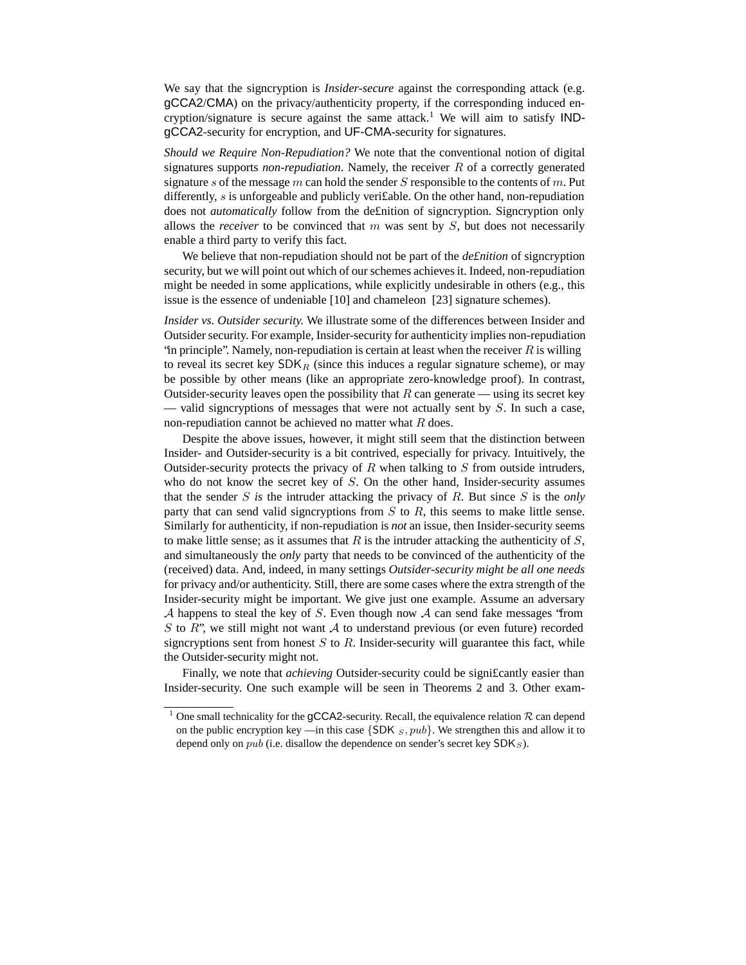We say that the signcryption is *Insider-secure* against the corresponding attack (e.g. gCCA2/CMA) on the privacy/authenticity property, if the corresponding induced encryption/signature is secure against the same attack.<sup>1</sup> We will aim to satisfy  $IND$ gCCA2-security for encryption, and UF-CMA-security for signatures.

*Should we Require Non-Repudiation?* We note that the conventional notion of digital signatures supports *non-repudiation*. Namely, the receiver R of a correctly generated signature s of the message m can hold the sender S responsible to the contents of m. Put differently, s is unforgeable and publicly veri£able. On the other hand, non-repudiation does not *automatically* follow from the de£nition of signcryption. Signcryption only allows the *receiver* to be convinced that  $m$  was sent by  $S$ , but does not necessarily enable a third party to verify this fact.

We believe that non-repudiation should not be part of the *definition* of signcryption security, but we will point out which of ourschemes achievesit. Indeed, non-repudiation might be needed in some applications, while explicitly undesirable in others (e.g., this issue is the essence of undeniable [10] and chameleon [23] signature schemes).

*Insider vs. Outsider security.* We illustrate some of the differences between Insider and Outsider security. For example, Insider-security for authenticity implies non-repudiation "in principle". Namely, non-repudiation is certain at least when the receiver  $R$  is willing to reveal its secret key  $SDK_R$  (since this induces a regular signature scheme), or may be possible by other means (like an appropriate zero-knowledge proof). In contrast, Outsider-security leaves open the possibility that  $R$  can generate — using its secret key — valid signeryptions of messages that were not actually sent by  $S$ . In such a case, non-repudiation cannot be achieved no matter what  $R$  does.

Despite the above issues, however, it might still seem that the distinction between Insider- and Outsider-security is a bit contrived, especially for privacy. Intuitively, the Outsider-security protects the privacy of  $R$  when talking to  $S$  from outside intruders, who do not know the secret key of S. On the other hand, Insider-security assumes that the sender S *is* the intruder attacking the privacy of R. But since S is the *only* party that can send valid signcryptions from  $S$  to  $R$ , this seems to make little sense. Similarly for authenticity, if non-repudiation is *not* an issue, then Insider-security seems to make little sense; as it assumes that  $R$  is the intruder attacking the authenticity of  $S$ , and simultaneously the *only* party that needs to be convinced of the authenticity of the (received) data. And, indeed, in many settings *Outsider-security might be all one needs* for privacy and/or authenticity. Still, there are some cases where the extra strength of the Insider-security might be important. We give just one example. Assume an adversary A happens to steal the key of S. Even though now A can send fake messages 'from S to R", we still might not want  $A$  to understand previous (or even future) recorded signcryptions sent from honest  $S$  to  $R$ . Insider-security will guarantee this fact, while the Outsider-security might not.

Finally, we note that *achieving* Outsider-security could be signi£cantly easier than Insider-security. One such example will be seen in Theorems 2 and 3. Other exam-

<sup>&</sup>lt;sup>1</sup> One small technicality for the gCCA2-security. Recall, the equivalence relation  $R$  can depend on the public encryption key —in this case  $\{SDK_{S}, pub\}$ . We strengthen this and allow it to depend only on pub (i.e. disallow the dependence on sender's secret key  $\mathsf{SDK}_S$ ).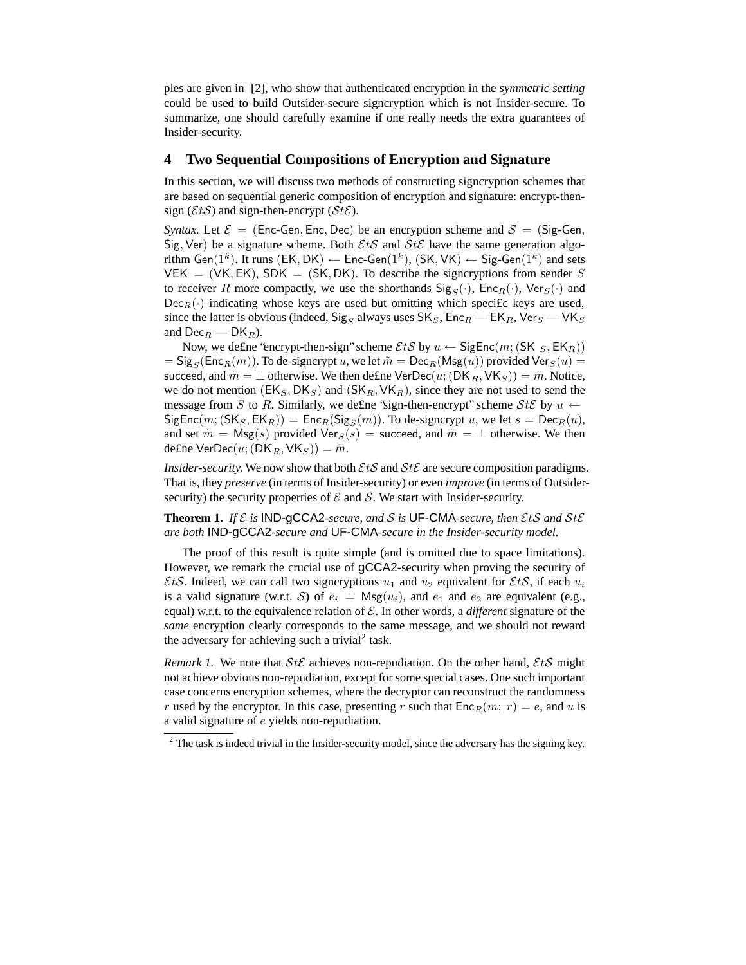ples are given in [2], who show that authenticated encryption in the *symmetric setting* could be used to build Outsider-secure signcryption which is not Insider-secure. To summarize, one should carefully examine if one really needs the extra guarantees of Insider-security.

### **4 Two Sequential Compositions of Encryption and Signature**

In this section, we will discuss two methods of constructing signcryption schemes that are based on sequential generic composition of encryption and signature: encrypt-thensign ( $\mathcal{E}t\mathcal{S}$ ) and sign-then-encrypt ( $\mathcal{S}t\mathcal{E}$ ).

*Syntax.* Let  $\mathcal{E} =$  (Enc-Gen, Enc, Dec) be an encryption scheme and  $\mathcal{S} =$  (Sig-Gen, Sig, Ver) be a signature scheme. Both  $\mathcal{E}tS$  and  $\mathcal{S}tE$  have the same generation algorithm Gen( $1^k$ ). It runs (EK, DK)  $\leftarrow$  Enc-Gen( $1^k$ ), (SK, VK)  $\leftarrow$  Sig-Gen( $1^k$ ) and sets VEK = (VK, EK), SDK = (SK, DK). To describe the signcryptions from sender S to receiver R more compactly, we use the shorthands  $\text{Sig}_S(\cdot)$ ,  $\text{Enc}_R(\cdot)$ ,  $\text{Ver}_S(\cdot)$  and  $Dec_R(\cdot)$  indicating whose keys are used but omitting which specific keys are used, since the latter is obvious (indeed,  $\text{Sig}_S$  always uses  $\text{SK}_S$ ,  $\text{Enc}_R$  —  $\text{EK}_R$ ,  $\text{Ver}_S$  —  $\text{VK}_S$ and  $Dec_R = DK_R$ ).

Now, we de£ne "encrypt-then-sign" scheme  $\mathcal{E}t\mathcal{S}$  by  $u \leftarrow$  SigEnc $(m; (SK_S, EK_R))$  $=$  Sig<sub>S</sub>(Enc<sub>R</sub>(m)). To de-signcrypt u, we let  $\tilde{m}$  = Dec<sub>R</sub>(Msg(u)) provided Ver<sub>S</sub>(u) = succeed, and  $\tilde{m} = \perp$  otherwise. We then de£ne VerDec(u; (DK<sub>R</sub>, VK<sub>S</sub>)) =  $\tilde{m}$ . Notice, we do not mention ( $EK_S, DK_S$ ) and ( $SK_R, VK_R$ ), since they are not used to send the message from S to R. Similarly, we define "sign-then-encrypt" scheme StE by  $u \leftarrow$  $SignEnc(m; (SK_S, EK_R)) = Enc_R(Sig_S(m))$ . To de-signcrypt u, we let  $s = Dec_R(u)$ , and set  $\tilde{m} = \text{Msg}(s)$  provided  $\text{Ver}_S(s) = \text{succeed},$  and  $\tilde{m} = \perp$  otherwise. We then de£ne VerDec(u; (DK<sub>R</sub>, VK<sub>S</sub>)) =  $\tilde{m}$ .

*Insider-security.* We now show that both  $\mathcal{E}tS$  and  $\mathcal{S}tE$  are secure composition paradigms. That is, they *preserve* (in terms of Insider-security) or even *improve* (in terms of Outsidersecurity) the security properties of  $\mathcal E$  and  $\mathcal S$ . We start with Insider-security.

**Theorem 1.** If  $\mathcal{E}$  is IND-gCCA2-secure, and  $\mathcal{S}$  is UF-CMA-secure, then  $\mathcal{E}$ tS and  $\mathcal{S}$ t $\mathcal{E}$ *are both* IND-gCCA2*-secure and* UF-CMA*-secure in the Insider-security model.*

The proof of this result is quite simple (and is omitted due to space limitations). However, we remark the crucial use of gCCA2-security when proving the security of EtS. Indeed, we can call two signcryptions  $u_1$  and  $u_2$  equivalent for EtS, if each  $u_i$ is a valid signature (w.r.t. S) of  $e_i = \text{Msg}(u_i)$ , and  $e_1$  and  $e_2$  are equivalent (e.g., equal) w.r.t. to the equivalence relation of  $\mathcal E$ . In other words, a *different* signature of the *same* encryption clearly corresponds to the same message, and we should not reward the adversary for achieving such a trivial<sup>2</sup> task.

*Remark 1.* We note that  $St\mathcal{E}$  achieves non-repudiation. On the other hand,  $\mathcal{E}t\mathcal{S}$  might not achieve obvious non-repudiation, except for some special cases. One such important case concerns encryption schemes, where the decryptor can reconstruct the randomness r used by the encryptor. In this case, presenting r such that  $\text{Enc}_R(m; r) = e$ , and u is a valid signature of e yields non-repudiation.

 $^{2}$  The task is indeed trivial in the Insider-security model, since the adversary has the signing key.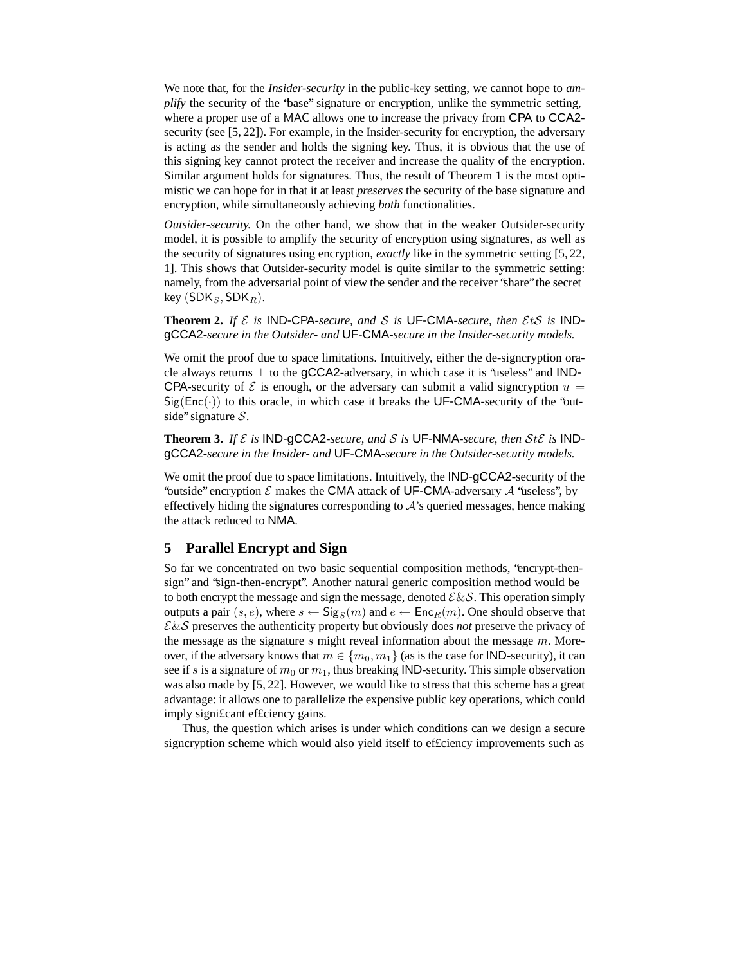We note that, for the *Insider-security* in the public-key setting, we cannot hope to *amplify* the security of the "base" signature or encryption, unlike the symmetric setting, where a proper use of a MAC allows one to increase the privacy from CPA to CCA2 security (see [5, 22]). For example, in the Insider-security for encryption, the adversary is acting as the sender and holds the signing key. Thus, it is obvious that the use of this signing key cannot protect the receiver and increase the quality of the encryption. Similar argument holds for signatures. Thus, the result of Theorem 1 is the most optimistic we can hope for in that it at least *preserves* the security of the base signature and encryption, while simultaneously achieving *both* functionalities.

*Outsider-security.* On the other hand, we show that in the weaker Outsider-security model, it is possible to amplify the security of encryption using signatures, as well as the security of signatures using encryption, *exactly* like in the symmetric setting [5, 22, 1]. This shows that Outsider-security model is quite similar to the symmetric setting: namely, from the adversarial point of view the sender and the receiver "share" the secret key (SDK<sub>S</sub>, SDK<sub>R</sub>).

**Theorem 2.** If  $\mathcal{E}$  is IND-CPA-secure, and  $\mathcal{S}$  is UF-CMA-secure, then  $\mathcal{E}$ t $\mathcal{S}$  is INDgCCA2*-secure in the Outsider- and* UF-CMA*-secure in the Insider-security models.*

We omit the proof due to space limitations. Intuitively, either the de-signcryption oracle always returns  $\perp$  to the gCCA2-adversary, in which case it is "useless" and IND-CPA-security of  $\mathcal E$  is enough, or the adversary can submit a valid signcryption  $u =$  $Sig(Enc(\cdot))$  to this oracle, in which case it breaks the UF-CMA-security of the "outside" signature  $S$ .

**Theorem 3.** If  $\mathcal{E}$  is IND-gCCA2-secure, and  $\mathcal{S}$  is UF-NMA-secure, then  $\mathcal{S}t\mathcal{E}$  is INDgCCA2*-secure in the Insider- and* UF-CMA*-secure in the Outsider-security models.*

We omit the proof due to space limitations. Intuitively, the IND-gCCA2-security of the "butside" encryption  $\mathcal E$  makes the CMA attack of UF-CMA-adversary  $\mathcal A$  "useless", by effectively hiding the signatures corresponding to  $A$ 's queried messages, hence making the attack reduced to NMA.

# **5 Parallel Encrypt and Sign**

So far we concentrated on two basic sequential composition methods, "encrypt-thensign" and "sign-then-encrypt". Another natural generic composition method would be to both encrypt the message and sign the message, denoted  $\mathcal{E}\&\mathcal{S}$ . This operation simply outputs a pair  $(s, e)$ , where  $s \leftarrow \text{Sig}_S(m)$  and  $e \leftarrow \text{Enc}_R(m)$ . One should observe that E&S preserves the authenticity property but obviously does *not* preserve the privacy of the message as the signature  $s$  might reveal information about the message  $m$ . Moreover, if the adversary knows that  $m \in \{m_0, m_1\}$  (as is the case for **IND**-security), it can see if s is a signature of  $m_0$  or  $m_1$ , thus breaking IND-security. This simple observation was also made by [5, 22]. However, we would like to stress that this scheme has a great advantage: it allows one to parallelize the expensive public key operations, which could imply signi£cant ef£ciency gains.

Thus, the question which arises is under which conditions can we design a secure signcryption scheme which would also yield itself to ef£ciency improvements such as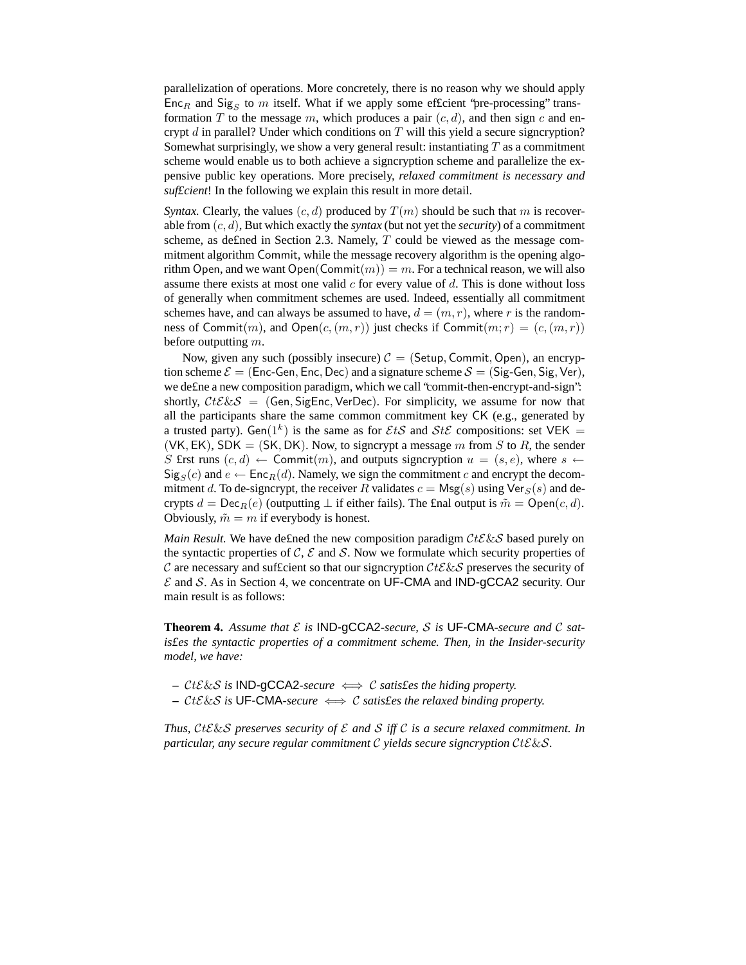parallelization of operations. More concretely, there is no reason why we should apply  $Enc_R$  and  $Sig_S$  to m itself. What if we apply some efficient "pre-processing" transformation T to the message m, which produces a pair  $(c, d)$ , and then sign c and encrypt  $d$  in parallel? Under which conditions on  $T$  will this yield a secure signcryption? Somewhat surprisingly, we show a very general result: instantiating  $T$  as a commitment scheme would enable us to both achieve a signcryption scheme and parallelize the expensive public key operations. More precisely, *relaxed commitment is necessary and suf£cient*! In the following we explain this result in more detail.

*Syntax.* Clearly, the values  $(c, d)$  produced by  $T(m)$  should be such that m is recoverable from (c, d), But which exactly the *syntax* (but not yet the *security*) of a commitment scheme, as de£ned in Section 2.3. Namely, T could be viewed as the message commitment algorithm Commit, while the message recovery algorithm is the opening algorithm Open, and we want Open(Commit $(m)$ ) = m. For a technical reason, we will also assume there exists at most one valid  $c$  for every value of  $d$ . This is done without loss of generally when commitment schemes are used. Indeed, essentially all commitment schemes have, and can always be assumed to have,  $d = (m, r)$ , where r is the randomness of Commit $(m)$ , and Open $(c,(m,r))$  just checks if Commit $(m;r) = (c,(m,r))$ before outputting m.

Now, given any such (possibly insecure)  $C =$  (Setup, Commit, Open), an encryption scheme  $\mathcal{E} = (Enc-Gen, Enc, Dec)$  and a signature scheme  $\mathcal{S} = (Sig-Gen, Sig, Ver)$ , we de£ne a new composition paradigm, which we call "commit-then-encrypt-and-sign": shortly,  $Ct\&S =$  (Gen, SigEnc, VerDec). For simplicity, we assume for now that all the participants share the same common commitment key CK (e.g., generated by a trusted party). Gen( $1^k$ ) is the same as for  $\mathcal{E}tS$  and  $\mathcal{S}t\mathcal{E}$  compositions: set VEK = (VK, EK), SDK = (SK, DK). Now, to signcrypt a message m from S to R, the sender S £rst runs  $(c, d) \leftarrow$  Commit $(m)$ , and outputs signcryption  $u = (s, e)$ , where  $s \leftarrow$  $\text{Sig}_S(c)$  and  $e \leftarrow \text{Enc}_R(d)$ . Namely, we sign the commitment c and encrypt the decommitment d. To de-signcrypt, the receiver R validates  $c = \mathsf{Msg}(s)$  using  $\mathsf{Ver}_S(s)$  and decrypts  $d = \text{Dec}_R(e)$  (outputting  $\perp$  if either fails). The £nal output is  $\tilde{m} = \text{Open}(c, d)$ . Obviously,  $\tilde{m} = m$  if everybody is honest.

*Main Result.* We have defined the new composition paradigm  $\mathcal{C}t\mathcal{E}\&S$  based purely on the syntactic properties of C,  $\mathcal E$  and S. Now we formulate which security properties of C are necessary and sufficient so that our signcryption  $\mathcal{C}t\mathcal{E}\&\mathcal{S}$  preserves the security of  $\mathcal E$  and  $\mathcal S$ . As in Section 4, we concentrate on UF-CMA and IND-gCCA2 security. Our main result is as follows:

**Theorem 4.** Assume that  $\mathcal{E}$  is  $IND-qCCA2$ -secure,  $\mathcal{S}$  is  $UF-CMA$ -secure and  $\mathcal{C}$  sat*is£es the syntactic properties of a commitment scheme. Then, in the Insider-security model, we have:*

- $\rightarrow$  CtE&S is **IND-gCCA2**-secure  $\Longleftrightarrow$  C satisfes the hiding property.
- $-$  CtE&S is UF-CMA-secure  $\Longleftrightarrow$  C satisfes the relaxed binding property.

*Thus,* CtE&S *preserves security of* E *and* S *iff* C *is a secure relaxed commitment. In particular, any secure regular commitment* C *yields secure signcryption* CtE&S*.*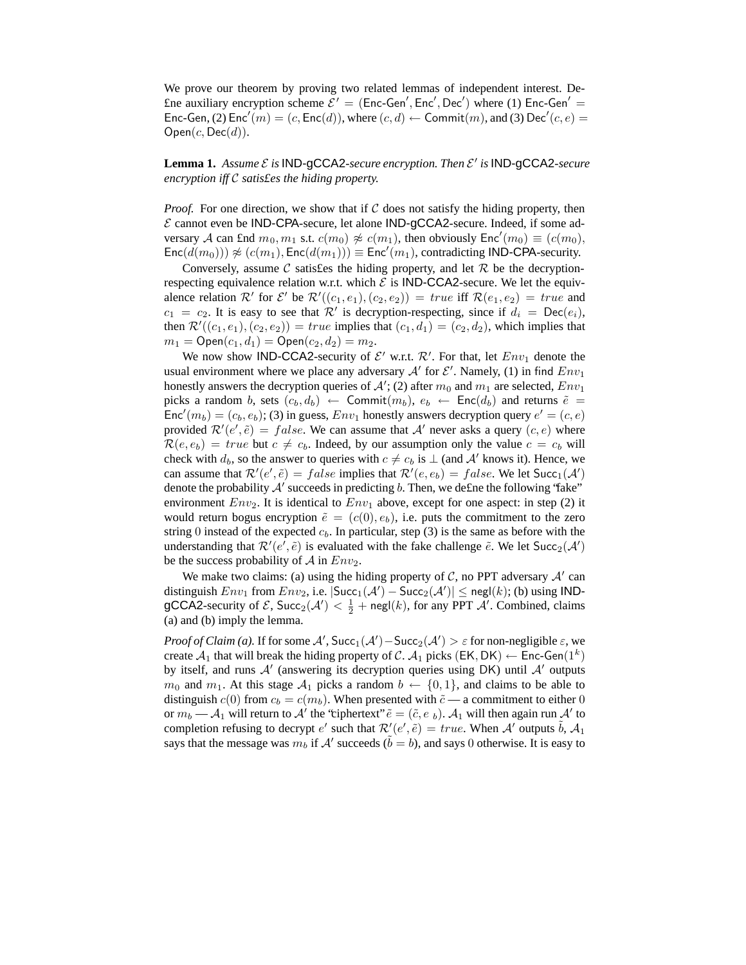We prove our theorem by proving two related lemmas of independent interest. De-  $\mathcal{E}' = (\text{Enc-Gen}', \text{Enc}')$  where (1)  $\text{Enc-Gen}' =$ Enc-Gen, (2)  $\textsf{Enc}'(m) = (c, \textsf{Enc}(d))$ , where  $(c, d) \leftarrow \textsf{Commit}(m)$ , and (3) Dec' $(c, e)$  =  $Open(c, Dec(d)).$ 

**Lemma 1.** *Assume* E *is*IND-gCCA2*-secure encryption. Then* E 0 *is*IND-gCCA2*-secure encryption iff* C *satis£es the hiding property.*

*Proof.* For one direction, we show that if  $C$  does not satisfy the hiding property, then  $E$  cannot even be IND-CPA-secure, let alone IND-gCCA2-secure. Indeed, if some adversary A can £nd  $m_0, m_1$  s.t.  $c(m_0) \not\approx c(m_1)$ , then obviously  $Enc'(m_0) \equiv (c(m_0),$  $\textsf{Enc}(d(m_0))) \not\approx (c(m_1), \textsf{Enc}(d(m_1))) \equiv \textsf{Enc}'(m_1), \text{contradicting IND-CPA-security.}$ 

Conversely, assume  $\mathcal C$  satisfes the hiding property, and let  $\mathcal R$  be the decryptionrespecting equivalence relation w.r.t. which  $\mathcal E$  is **IND-CCA2**-secure. We let the equivalence relation  $\mathcal{R}'$  for  $\mathcal{E}'$  be  $\mathcal{R}'((c_1, e_1), (c_2, e_2)) = true$  iff  $\mathcal{R}(e_1, e_2) = true$  and  $c_1 = c_2$ . It is easy to see that  $\mathcal{R}'$  is decryption-respecting, since if  $d_i = \text{Dec}(e_i)$ , then  $\mathcal{R}'((c_1, e_1), (c_2, e_2)) = true$  implies that  $(c_1, d_1) = (c_2, d_2)$ , which implies that  $m_1 = \text{Open}(c_1, d_1) = \text{Open}(c_2, d_2) = m_2.$ 

We now show IND-CCA2-security of  $\mathcal{E}'$  w.r.t.  $\mathcal{R}'$ . For that, let  $Env_1$  denote the usual environment where we place any adversary  $A'$  for  $\mathcal{E}'$ . Namely, (1) in find  $Env_1$ honestly answers the decryption queries of  $A'$ ; (2) after  $m_0$  and  $m_1$  are selected,  $Env_1$ picks a random b, sets  $(c_b, d_b) \leftarrow$  Commit $(m_b), e_b \leftarrow$  Enc $(d_b)$  and returns  $\tilde{e}$  =  $\text{Enc}'(m_b) = (c_b, e_b)$ ; (3) in guess,  $Env_1$  honestly answers decryption query  $e' = (c, e)$ provided  $\mathcal{R}'(e',\tilde{e}) = false$ . We can assume that A' never asks a query  $(c, e)$  where  $\mathcal{R}(e, e_b) = true$  but  $c \neq c_b$ . Indeed, by our assumption only the value  $c = c_b$  will check with  $d_b$ , so the answer to queries with  $c \neq c_b$  is  $\perp$  (and A' knows it). Hence, we can assume that  $\mathcal{R}'(e', \tilde{e}) = false$  implies that  $\mathcal{R}'(e, e_b) = false$ . We let  $Succ_1(\mathcal{A}')$ denote the probability  $A'$  succeeds in predicting b. Then, we define the following 'fake' environment  $Env_2$ . It is identical to  $Env_1$  above, except for one aspect: in step (2) it would return bogus encryption  $\tilde{e} = (c(0), e_b)$ , i.e. puts the commitment to the zero string 0 instead of the expected  $c_b$ . In particular, step (3) is the same as before with the understanding that  $\mathcal{R}'(e^{\overline{t}},\tilde{e})$  is evaluated with the fake challenge  $\tilde{e}$ . We let  $\text{Succ}_2(\mathcal{A}')$ be the success probability of  $A$  in  $Env_2$ .

We make two claims: (a) using the hiding property of  $C$ , no PPT adversary  $A'$  can distinguish  $Env_1$  from  $Env_2$ , i.e.  $|\text{Succ}_1(\mathcal{A}') - \text{Succ}_2(\mathcal{A}')| \leq \text{negl}(k)$ ; (b) using IND**gCCA2**-security of  $\mathcal{E}$ ,  $\text{Succ}_2(\mathcal{A}') < \frac{1}{2} + \text{negl}(k)$ , for any PPT  $\mathcal{A}'$ . Combined, claims (a) and (b) imply the lemma.

*Proof of Claim (a).* If for some  $A'$ , Succ<sub>1</sub> $(A')$  – Succ<sub>2</sub> $(A') > \varepsilon$  for non-negligible  $\varepsilon$ , we create  $\mathcal{A}_1$  that will break the hiding property of C.  $\mathcal{A}_1$  picks (EK, DK)  $\leftarrow$  Enc-Gen $(1^k)$ by itself, and runs  $A'$  (answering its decryption queries using DK) until  $A'$  outputs  $m_0$  and  $m_1$ . At this stage  $A_1$  picks a random  $b \leftarrow \{0, 1\}$ , and claims to be able to distinguish  $c(0)$  from  $c_b = c(m_b)$ . When presented with  $\tilde{c}$  — a commitment to either 0 or  $m_b = A_1$  will return to  $A'$  the 'ciphertext''  $\tilde{e} = (\tilde{c}, e_b)$ .  $A_1$  will then again run  $A'$  to completion refusing to decrypt e' such that  $\mathcal{R}'(e', \tilde{e}) = true$ . When A' outputs  $\tilde{b}$ , A<sub>1</sub> says that the message was  $m_b$  if A' succeeds ( $\tilde{b} = b$ ), and says 0 otherwise. It is easy to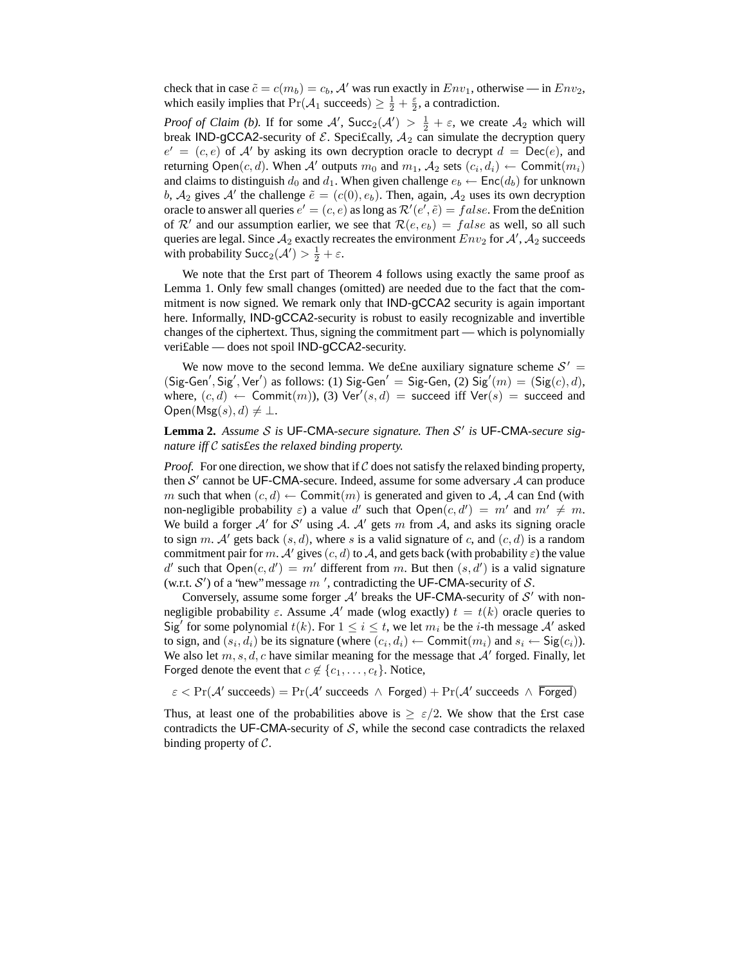check that in case  $\tilde{c} = c(m_b) = c_b$ , A' was run exactly in  $Env_1$ , otherwise — in  $Env_2$ , which easily implies that  $Pr(\mathcal{A}_1 \text{ succeeds}) \geq \frac{1}{2} + \frac{\epsilon}{2}$ , a contradiction.

*Proof of Claim (b).* If for some  $A'$ ,  $Succ_2(A') > \frac{1}{2} + \varepsilon$ , we create  $A_2$  which will break IND-gCCA2-security of  $\mathcal{E}$ . Specifically,  $\mathcal{A}_2$  can simulate the decryption query  $e' = (c, e)$  of A' by asking its own decryption oracle to decrypt  $d = \text{Dec}(e)$ , and returning Open $(c, d)$ . When A' outputs  $m_0$  and  $m_1$ ,  $\mathcal{A}_2$  sets  $(c_i, d_i) \leftarrow$  Commit $(m_i)$ and claims to distinguish  $d_0$  and  $d_1$ . When given challenge  $e_b \leftarrow \text{Enc}(d_b)$  for unknown b,  $A_2$  gives A' the challenge  $\tilde{e} = (c(0), e_b)$ . Then, again,  $A_2$  uses its own decryption oracle to answer all queries  $e' = (c, e)$  as long as  $\mathcal{R}'(e', \tilde{e}) = false$ . From the definition of  $\mathcal{R}'$  and our assumption earlier, we see that  $\mathcal{R}(e, e_b) = false$  as well, so all such queries are legal. Since  $A_2$  exactly recreates the environment  $Env_2$  for  $A', A_2$  succeeds with probability  $\text{Succ}_2(\mathcal{A}') > \frac{1}{2} + \varepsilon$ .

We note that the £rst part of Theorem 4 follows using exactly the same proof as Lemma 1. Only few small changes (omitted) are needed due to the fact that the commitment is now signed. We remark only that IND-gCCA2 security is again important here. Informally, IND-gCCA2-security is robust to easily recognizable and invertible changes of the ciphertext. Thus, signing the commitment part — which is polynomially veri£able — does not spoil IND-gCCA2-security.

We now move to the second lemma. We define auxiliary signature scheme  $S' =$  $(Sig-Gen', Sig', Ver')$  as follows: (1)  $Sig-Gen' = Sig-Gen$ , (2)  $\overline{Sig'(m)} = (\overline{Sig(c)}, d)$ , where,  $(c, d) \leftarrow$  Commit $(m)$ ), (3) Ver'(s, d) = succeed iff Ver(s) = succeed and Open( $Msg(s), d$ )  $\neq \perp$ .

**Lemma 2.** *Assume* S *is* UF-CMA*-secure signature. Then* S 0 *is* UF-CMA*-secure signature iff* C *satis£es the relaxed binding property.*

*Proof.* For one direction, we show that if C does not satisfy the relaxed binding property, then  $S'$  cannot be UF-CMA-secure. Indeed, assume for some adversary  $A$  can produce m such that when  $(c, d) \leftarrow$  Commit $(m)$  is generated and given to A, A can £nd (with non-negligible probability  $\varepsilon$ ) a value  $d'$  such that  $Open(c, d') = m'$  and  $m' \neq m$ . We build a forger  $A'$  for  $S'$  using A.  $A'$  gets m from A, and asks its signing oracle to sign m. A' gets back  $(s, d)$ , where s is a valid signature of c, and  $(c, d)$  is a random commitment pair for m. A' gives  $(c, d)$  to A, and gets back (with probability  $\varepsilon$ ) the value d' such that  $\widehat{Open}(c, d') = m'$  different from m. But then  $(s, d')$  is a valid signature (w.r.t.  $\mathcal{S}'$ ) of a 'hew" message m', contradicting the UF-CMA-security of  $\mathcal{S}$ .

Conversely, assume some forger  $A'$  breaks the UF-CMA-security of  $S'$  with nonnegligible probability  $\varepsilon$ . Assume A' made (wlog exactly)  $t = t(k)$  oracle queries to Sig' for some polynomial  $t(k)$ . For  $1 \le i \le t$ , we let  $m_i$  be the *i*-th message  $A'$  asked to sign, and  $(s_i, d_i)$  be its signature (where  $(c_i, d_i) \leftarrow \text{Commit}(m_i)$  and  $s_i \leftarrow \text{Sig}(c_i)$ ). We also let  $m, s, d, c$  have similar meaning for the message that  $A'$  forged. Finally, let Forged denote the event that  $c \notin \{c_1, \ldots, c_t\}$ . Notice,

 $\varepsilon$  < Pr( $\mathcal{A}'$  succeeds) = Pr( $\mathcal{A}'$  succeeds  $\wedge$  Forged) + Pr( $\mathcal{A}'$  succeeds  $\wedge$  Forged)

Thus, at least one of the probabilities above is  $\geq \varepsilon/2$ . We show that the first case contradicts the UF-CMA-security of  $S$ , while the second case contradicts the relaxed binding property of  $\mathcal{C}$ .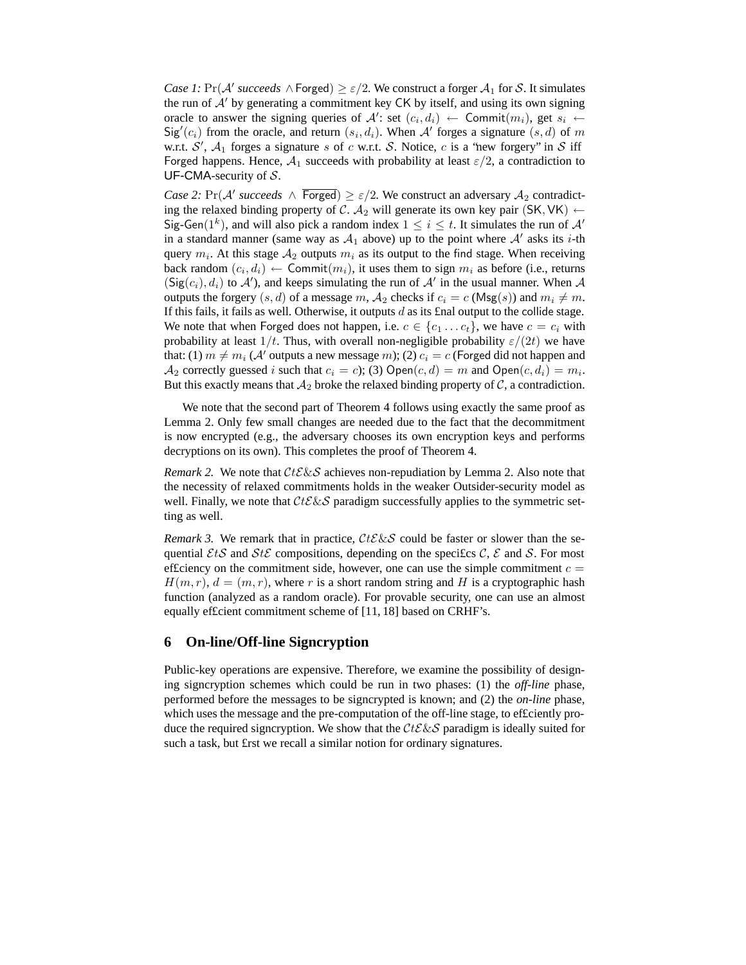*Case 1:* Pr( $\mathcal{A}'$  *succeeds*  $\land$  Forged)  $\geq \varepsilon/2$ . We construct a forger  $\mathcal{A}_1$  for S. It simulates the run of  $A'$  by generating a commitment key CK by itself, and using its own signing oracle to answer the signing queries of  $\mathcal{A}'$ : set  $(c_i, d_i) \leftarrow \text{Commit}(m_i)$ , get  $s_i \leftarrow$  $Sig'(c_i)$  from the oracle, and return  $(s_i, d_i)$ . When A' forges a signature  $(s, d)$  of m w.r.t.  $S'$ ,  $A_1$  forges a signature s of c w.r.t. S. Notice, c is a 'hew forgery" in S iff Forged happens. Hence,  $A_1$  succeeds with probability at least  $\varepsilon/2$ , a contradiction to UF-CMA-security of  $S$ .

*Case* 2:  $Pr(A' \text{ succeeds } \wedge \overline{\text{Forged}}) \ge \varepsilon/2$ . We construct an adversary  $A_2$  contradicting the relaxed binding property of C.  $A_2$  will generate its own key pair (SK, VK)  $\leftarrow$ Sig-Gen(1<sup>k</sup>), and will also pick a random index  $1 \le i \le t$ . It simulates the run of A' in a standard manner (same way as  $A_1$  above) up to the point where  $A'$  asks its *i*-th query  $m_i$ . At this stage  $A_2$  outputs  $m_i$  as its output to the find stage. When receiving back random  $(c_i, d_i) \leftarrow$  Commit $(m_i)$ , it uses them to sign  $m_i$  as before (i.e., returns  $(Sig(c_i), d_i)$  to  $\mathcal{A}'$ ), and keeps simulating the run of  $\mathcal{A}'$  in the usual manner. When  $\mathcal{A}$ outputs the forgery  $(s, d)$  of a message m,  $A_2$  checks if  $c_i = c$  (Msg $(s)$ ) and  $m_i \neq m$ . If this fails, it fails as well. Otherwise, it outputs  $d$  as its final output to the collide stage. We note that when Forged does not happen, i.e.  $c \in \{c_1 \dots c_t\}$ , we have  $c = c_i$  with probability at least  $1/t$ . Thus, with overall non-negligible probability  $\varepsilon/(2t)$  we have that: (1)  $m \neq m_i$  ( $A'$  outputs a new message m); (2)  $c_i = c$  (Forged did not happen and  $A_2$  correctly guessed i such that  $c_i = c$ ); (3) Open $(c, d) = m$  and Open $(c, d_i) = m_i$ . But this exactly means that  $A_2$  broke the relaxed binding property of C, a contradiction.

We note that the second part of Theorem 4 follows using exactly the same proof as Lemma 2. Only few small changes are needed due to the fact that the decommitment is now encrypted (e.g., the adversary chooses its own encryption keys and performs decryptions on its own). This completes the proof of Theorem 4.

*Remark* 2. We note that  $C$ t $\&$  $S$  achieves non-repudiation by Lemma 2. Also note that the necessity of relaxed commitments holds in the weaker Outsider-security model as well. Finally, we note that  $Ct\&S$  paradigm successfully applies to the symmetric setting as well.

*Remark* 3. We remark that in practice,  $\mathcal{C}t\mathcal{E}\&S$  could be faster or slower than the sequential  $E$ t $S$  and  $S$ t $E$  compositions, depending on the specifics C,  $E$  and S. For most efficiency on the commitment side, however, one can use the simple commitment  $c =$  $H(m, r)$ ,  $d = (m, r)$ , where r is a short random string and H is a cryptographic hash function (analyzed as a random oracle). For provable security, one can use an almost equally ef£cient commitment scheme of [11, 18] based on CRHF's.

## **6 On-line/Off-line Signcryption**

Public-key operations are expensive. Therefore, we examine the possibility of designing signcryption schemes which could be run in two phases: (1) the *off-line* phase, performed before the messages to be signcrypted is known; and (2) the *on-line* phase, which uses the message and the pre-computation of the off-line stage, to efficiently produce the required signcryption. We show that the  $\mathcal{C}t\mathcal{E}\&\mathcal{S}$  paradigm is ideally suited for such a task, but £rst we recall a similar notion for ordinary signatures.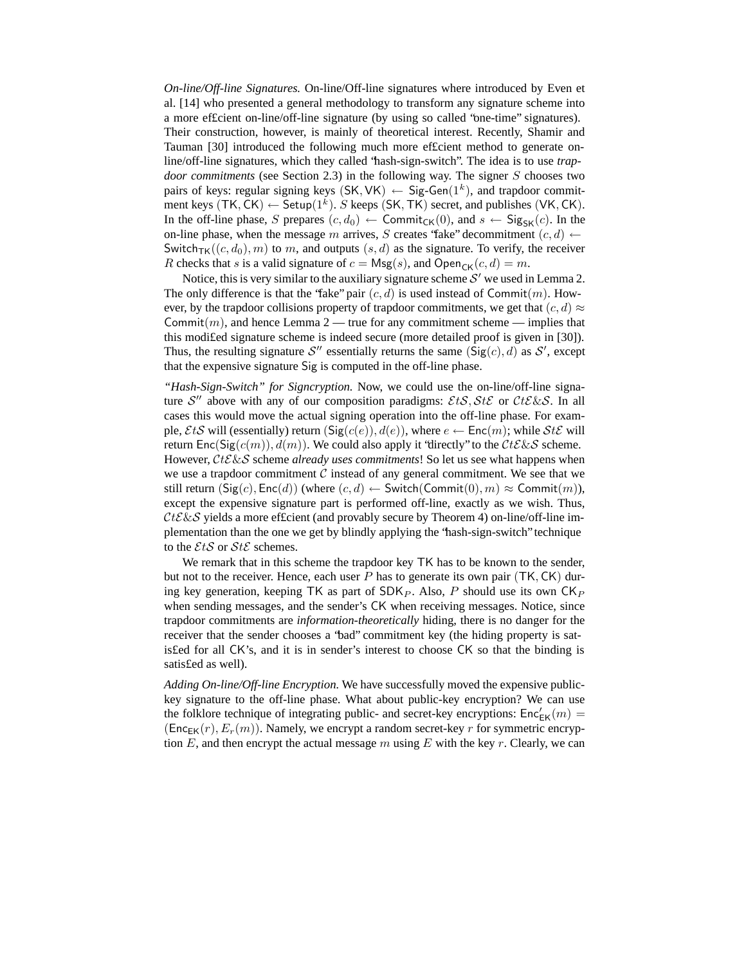*On-line/Off-line Signatures.* On-line/Off-line signatures where introduced by Even et al. [14] who presented a general methodology to transform any signature scheme into a more ef£cient on-line/off-line signature (by using so called "one-time" signatures). Their construction, however, is mainly of theoretical interest. Recently, Shamir and Tauman [30] introduced the following much more ef£cient method to generate online/off-line signatures, which they called "hash-sign-switch". The idea is to use *trapdoor commitments* (see Section 2.3) in the following way. The signer S chooses two pairs of keys: regular signing keys  $(SK, VK) \leftarrow$  Sig-Gen $(1<sup>k</sup>)$ , and trapdoor commitment keys (TK, CK)  $\leftarrow$  Setup(1<sup>k</sup>). S keeps (SK, TK) secret, and publishes (VK, CK). In the off-line phase, S prepares  $(c, d_0) \leftarrow$  Commit<sub>CK</sub> $(0)$ , and  $s \leftarrow$  Sig<sub>SK</sub> $(c)$ . In the on-line phase, when the message m arrives, S creates "fake" decommitment  $(c, d) \leftarrow$ Switch<sub>TK</sub>( $(c, d_0)$ , m) to m, and outputs  $(s, d)$  as the signature. To verify, the receiver R checks that s is a valid signature of  $c = \mathsf{Msg}(s)$ , and  $\mathsf{Open}_{\mathsf{CK}}(c, d) = m$ .

Notice, this is very similar to the auxiliary signature scheme  $S'$  we used in Lemma 2. The only difference is that the 'fake' pair  $(c, d)$  is used instead of Commit $(m)$ . However, by the trapdoor collisions property of trapdoor commitments, we get that  $(c, d) \approx$ Commit $(m)$ , and hence Lemma 2 — true for any commitment scheme — implies that this modi£ed signature scheme is indeed secure (more detailed proof is given in [30]). Thus, the resulting signature S'' essentially returns the same  $(Sig(c), d)$  as S', except that the expensive signature Sig is computed in the off-line phase.

*"Hash-Sign-Switch" for Signcryption.* Now, we could use the on-line/off-line signature S" above with any of our composition paradigms:  $E tS$ ,  $StE$  or  $C tE \& S$ . In all cases this would move the actual signing operation into the off-line phase. For example,  $\mathcal{E}$ t $\mathcal{S}$  will (essentially) return  $(Sig(c(e)), d(e))$ , where  $e \leftarrow \text{Enc}(m)$ ; while  $\mathcal{S}$ t $\mathcal{E}$  will return  $Enc(Sig(c(m)), d(m))$ . We could also apply it "directly" to the  $\mathcal{C}t\mathcal{E}\&\mathcal{S}$  scheme. However, CtE&S scheme *already uses commitments*! So let us see what happens when we use a trapdoor commitment  $C$  instead of any general commitment. We see that we still return  $(Sig(c), Enc(d))$  (where  $(c, d) \leftarrow Switch(Commit(0), m) \approx Commit(m)),$ except the expensive signature part is performed off-line, exactly as we wish. Thus,  $Ct\mathcal{E}\&S$  yields a more efficient (and provably secure by Theorem 4) on-line/off-line implementation than the one we get by blindly applying the "hash-sign-switch" technique to the  $E$ t $S$  or  $StE$  schemes.

We remark that in this scheme the trapdoor key  $TK$  has to be known to the sender, but not to the receiver. Hence, each user  $P$  has to generate its own pair (TK, CK) during key generation, keeping TK as part of  $SDK_P$ . Also, P should use its own  $CK_P$ when sending messages, and the sender's CK when receiving messages. Notice, since trapdoor commitments are *information-theoretically* hiding, there is no danger for the receiver that the sender chooses a "bad" commitment key (the hiding property is satis£ed for all CK's, and it is in sender's interest to choose CK so that the binding is satis£ed as well).

*Adding On-line/Off-line Encryption.* We have successfully moved the expensive publickey signature to the off-line phase. What about public-key encryption? We can use the folklore technique of integrating public- and secret-key encryptions:  $Enc'_{EK}(m)$  $(Enc_{EK}(r), E_r(m))$ . Namely, we encrypt a random secret-key r for symmetric encryption  $E$ , and then encrypt the actual message m using  $E$  with the key r. Clearly, we can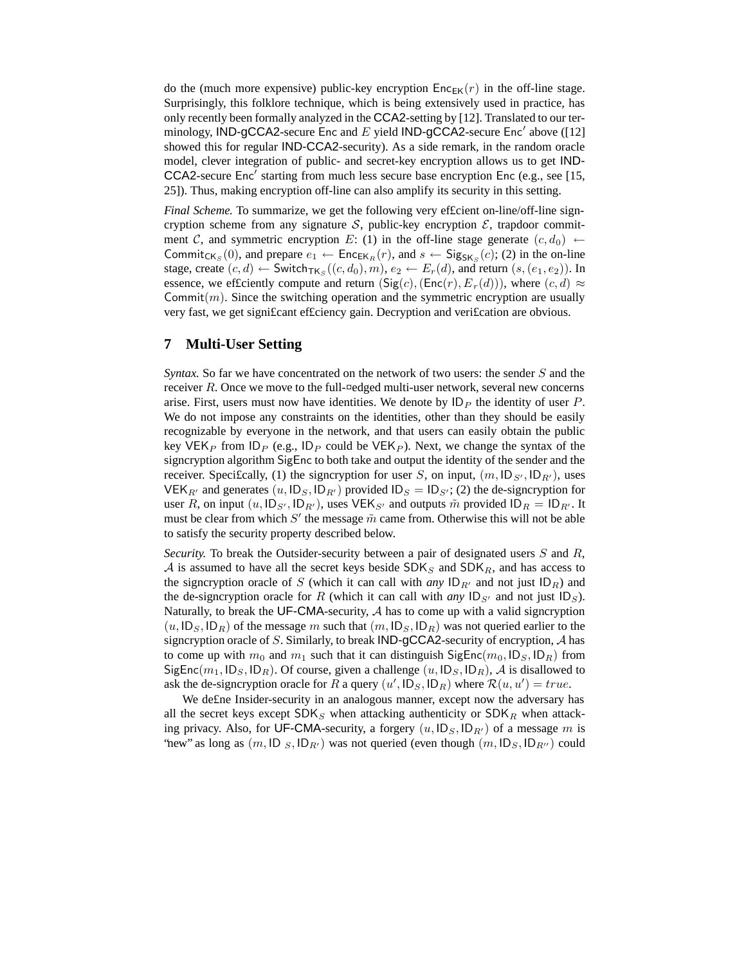do the (much more expensive) public-key encryption  $\mathsf{Enc}_{\mathsf{FK}}(r)$  in the off-line stage. Surprisingly, this folklore technique, which is being extensively used in practice, has only recently been formally analyzed in the CCA2-setting by [12]. Translated to our terminology, IND-gCCA2-secure Enc and E yield IND-gCCA2-secure Enc' above ([12] showed this for regular IND-CCA2-security). As a side remark, in the random oracle model, clever integration of public- and secret-key encryption allows us to get IND- $CCA2$ -secure Enc<sup>7</sup> starting from much less secure base encryption Enc (e.g., see [15, 25]). Thus, making encryption off-line can also amplify its security in this setting.

*Final Scheme.* To summarize, we get the following very ef£cient on-line/off-line signcryption scheme from any signature S, public-key encryption  $\mathcal{E}$ , trapdoor commitment C, and symmetric encryption E: (1) in the off-line stage generate  $(c, d_0) \leftarrow$ Commit<sub>CKs</sub>(0), and prepare  $e_1 \leftarrow \text{Enc}_{\text{EK}_R}(r)$ , and  $s \leftarrow \text{Sig}_{\text{SK}_S}(c)$ ; (2) in the on-line stage, create  $(c, d) \leftarrow$  Switch<sub>TKs</sub>  $((c, d_0), m)$ ,  $e_2 \leftarrow E_r(d)$ , and return  $(s, (e_1, e_2))$ . In essence, we efficiently compute and return  $(Sig(c),(Enc(r), E_r(d)))$ , where  $(c, d) \approx$ Commit $(m)$ . Since the switching operation and the symmetric encryption are usually very fast, we get signi£cant ef£ciency gain. Decryption and veri£cation are obvious.

# **7 Multi-User Setting**

*Syntax.* So far we have concentrated on the network of two users: the sender S and the receiver R. Once we move to the full-¤edged multi-user network, several new concerns arise. First, users must now have identities. We denote by  $\mathsf{ID}_P$  the identity of user P. We do not impose any constraints on the identities, other than they should be easily recognizable by everyone in the network, and that users can easily obtain the public key VEK<sub>P</sub> from  $ID_P$  (e.g.,  $ID_P$  could be VEK<sub>P</sub>). Next, we change the syntax of the signcryption algorithm SigEnc to both take and output the identity of the sender and the receiver. Specifically, (1) the signcryption for user S, on input,  $(m, \text{ID}_{S}, \text{ID}_{R'})$ , uses VEK<sub>R<sup>'</sup></sub> and generates  $(u, \text{ID}_S, \text{ID}_{R'})$  provided  $\text{ID}_S = \text{ID}_{S'}$ ; (2) the de-signcryption for user R, on input  $(u, \mathsf{ID}_{S}, \mathsf{ID}_{R})$ , uses VEK<sub>S'</sub> and outputs  $\tilde{m}$  provided  $\mathsf{ID}_R = \mathsf{ID}_{R'}$ . It must be clear from which S' the message  $\tilde{m}$  came from. Otherwise this will not be able to satisfy the security property described below.

*Security.* To break the Outsider-security between a pair of designated users S and R, A is assumed to have all the secret keys beside  $SDK_S$  and  $SDK_R$ , and has access to the signcryption oracle of S (which it can call with *any*  $ID_{R'}$  and not just  $ID_R$ ) and the de-signcryption oracle for R (which it can call with *any*  $ID_{S'}$  and not just  $ID_S$ ). Naturally, to break the UF-CMA-security,  $A$  has to come up with a valid signcryption  $(u, \text{ID}_S, \text{ID}_R)$  of the message m such that  $(m, \text{ID}_S, \text{ID}_R)$  was not queried earlier to the signcryption oracle of  $S$ . Similarly, to break IND-gCCA2-security of encryption,  $A$  has to come up with  $m_0$  and  $m_1$  such that it can distinguish SigEnc( $m_0$ ,  $|D_S, |D_R\rangle$ ) from SigEnc( $m_1$ , ID<sub>S</sub>, ID<sub>R</sub>). Of course, given a challenge (u, ID<sub>S</sub>, ID<sub>R</sub>), A is disallowed to ask the de-signcryption oracle for  $\overline{R}$  a query  $(u', \overline{\mathsf{ID}}_S, \overline{\mathsf{ID}}_R)$  where  $\mathcal{R}(u, u') = true$ .

We de£ne Insider-security in an analogous manner, except now the adversary has all the secret keys except  $SDK_S$  when attacking authenticity or  $SDK_R$  when attacking privacy. Also, for UF-CMA-security, a forgery  $(u, \mathsf{ID}_S, \mathsf{ID}_{R'})$  of a message m is "new" as long as  $(m, \mathsf{ID}_S, \mathsf{ID}_{R'})$  was not queried (even though  $(m, \mathsf{ID}_S, \mathsf{ID}_{R''})$  could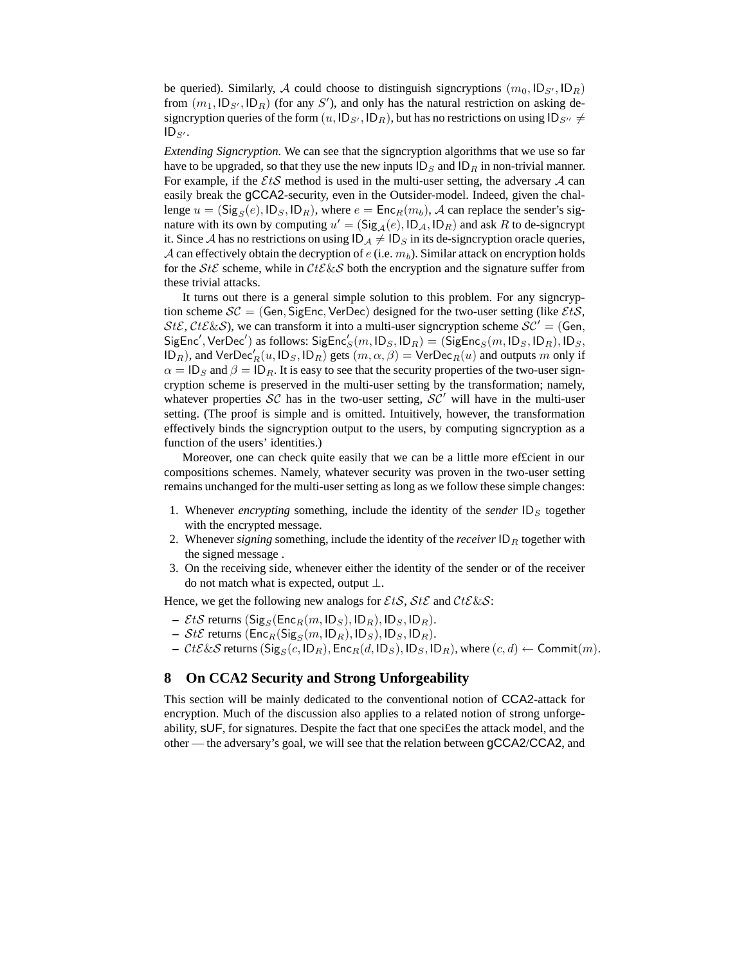be queried). Similarly, A could choose to distinguish signcryptions  $(m_0, \text{ID}_{S'}, \text{ID}_R)$ from  $(m_1, \mathsf{ID}_{S'}, \mathsf{ID}_R)$  (for any S'), and only has the natural restriction on asking designcryption queries of the form  $(u, \mathsf{ID}_{S'}, \mathsf{ID}_R)$ , but has no restrictions on using  $\mathsf{ID}_{S''} \neq$  $ID_{S'}$ .

*Extending Signcryption.* We can see that the signcryption algorithms that we use so far have to be upgraded, so that they use the new inputs  $ID<sub>S</sub>$  and  $ID<sub>R</sub>$  in non-trivial manner. For example, if the  $EtS$  method is used in the multi-user setting, the adversary  $A$  can easily break the gCCA2-security, even in the Outsider-model. Indeed, given the challenge  $u = (Sig_S(e), ID_S, ID_R)$ , where  $e = Enc_R(m_b)$ , A can replace the sender's signature with its own by computing  $u' = (Sig_A(e), ID_A, ID_R)$  and ask R to de-signcrypt it. Since A has no restrictions on using  $ID_A \neq ID_S$  in its de-signcryption oracle queries, A can effectively obtain the decryption of  $e$  (i.e.  $m_b$ ). Similar attack on encryption holds for the  $StE$  scheme, while in  $CtE\&S$  both the encryption and the signature suffer from these trivial attacks.

It turns out there is a general simple solution to this problem. For any signcryption scheme  $SC = (Gen, SigEnc, VerDec)$  designed for the two-user setting (like  $Ets$ , StE, CtE&S), we can transform it into a multi-user signcryption scheme  $SC' = (Gen,$ SigEnc', VerDec') as follows:  $\mathsf{SigEnc}'_S(m, \mathsf{ID}_S, \mathsf{ID}_R) = (\mathsf{SigEnc}_S(m, \mathsf{ID}_S, \mathsf{ID}_R), \mathsf{ID}_S)$  $ID_R$ ), and  $VerDec'_R(u, ID_S, ID_R)$  gets  $(m, \alpha, \beta) = VerDec_R(u)$  and outputs m only if  $\alpha = I\Box_S$  and  $\beta = I\Box_R$ . It is easy to see that the security properties of the two-user signcryption scheme is preserved in the multi-user setting by the transformation; namely, whatever properties  $SC$  has in the two-user setting,  $SC'$  will have in the multi-user setting. (The proof is simple and is omitted. Intuitively, however, the transformation effectively binds the signcryption output to the users, by computing signcryption as a function of the users' identities.)

Moreover, one can check quite easily that we can be a little more efficient in our compositions schemes. Namely, whatever security was proven in the two-user setting remains unchanged for the multi-user setting as long as we follow these simple changes:

- 1. Whenever *encrypting* something, include the identity of the *sender*  $\mathsf{ID}_S$  together with the encrypted message.
- 2. Whenever *signing* something, include the identity of the *receiver*  $ID_R$  together with the signed message .
- 3. On the receiving side, whenever either the identity of the sender or of the receiver do not match what is expected, output ⊥.

Hence, we get the following new analogs for  $\mathcal{E}$ t $\mathcal{S}$ ,  $\mathcal{S}$ t $\mathcal{E}$  and  $\mathcal{C}$ t $\mathcal{E}$  $\mathcal{S}$ :

- $-$  *EtS* returns (Sig<sub>S</sub>(Enc<sub>R</sub>(m, ID<sub>S</sub>), ID<sub>R</sub>), ID<sub>S</sub>, ID<sub>R</sub>).
- $-$  StE returns ( $\mathsf{Enc}_R(\mathsf{Sig}_S(m, \mathsf{ID}_R), \mathsf{ID}_S)$ ,  $\mathsf{ID}_S, \mathsf{ID}_R)$ .
- $-$  CtE&S returns (Sig<sub>S</sub>(c, ID<sub>R</sub>), Enc<sub>R</sub>(d, ID<sub>S</sub>), ID<sub>S</sub>, ID<sub>R</sub>), where (c, d)  $\leftarrow$  Commit(m).

## **8 On CCA2 Security and Strong Unforgeability**

This section will be mainly dedicated to the conventional notion of CCA2-attack for encryption. Much of the discussion also applies to a related notion of strong unforgeability, sUF, for signatures. Despite the fact that one speci£es the attack model, and the other — the adversary's goal, we will see that the relation between gCCA2/CCA2, and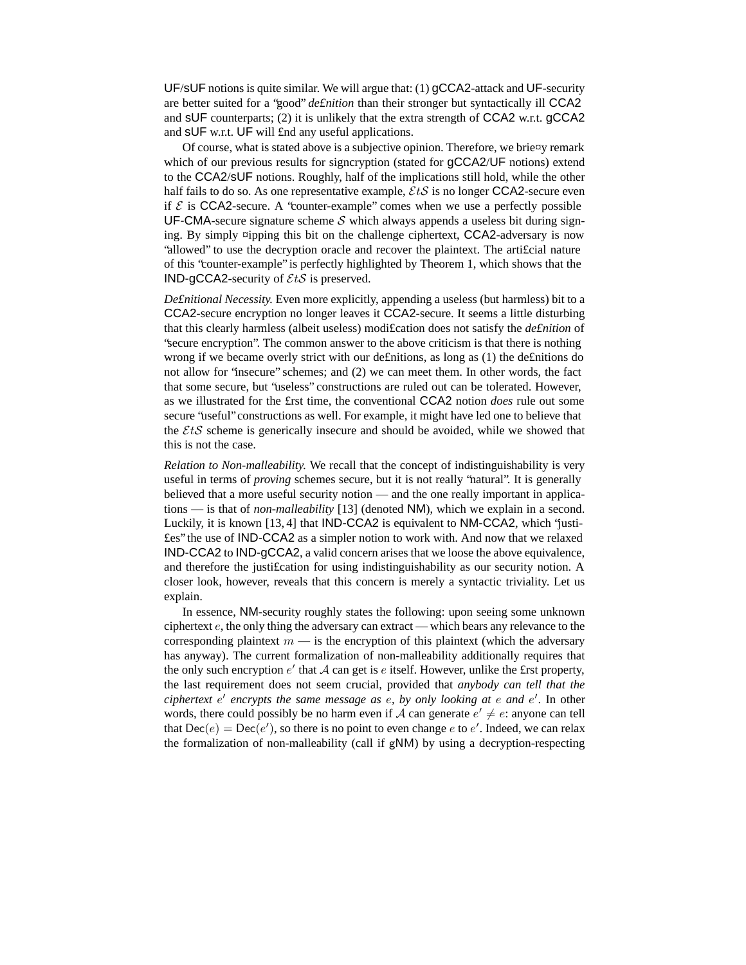UF/sUF notions is quite similar. We will argue that: (1) gCCA2-attack and UF-security are better suited for a "good" *de£nition* than their stronger but syntactically ill CCA2 and sUF counterparts; (2) it is unlikely that the extra strength of CCA2 w.r.t. gCCA2 and sUF w.r.t. UF will £nd any useful applications.

Of course, what is stated above is a subjective opinion. Therefore, we brie¤y remark which of our previous results for signcryption (stated for gCCA2/UF notions) extend to the CCA2/sUF notions. Roughly, half of the implications still hold, while the other half fails to do so. As one representative example,  $\mathcal{E}tS$  is no longer CCA2-secure even if  $\mathcal E$  is CCA2-secure. A "counter-example" comes when we use a perfectly possible UF-CMA-secure signature scheme  $S$  which always appends a useless bit during signing. By simply ¤ipping this bit on the challenge ciphertext, CCA2-adversary is now "allowed" to use the decryption oracle and recover the plaintext. The arti£cial nature of this "counter-example" is perfectly highlighted by Theorem 1, which shows that the **IND-gCCA2-security of**  $\mathcal{E}$ **tS is preserved.** 

*De£nitional Necessity.* Even more explicitly, appending a useless (but harmless) bit to a CCA2-secure encryption no longer leaves it CCA2-secure. It seems a little disturbing that this clearly harmless (albeit useless) modi£cation does not satisfy the *de£nition* of "secure encryption". The common answer to the above criticism is that there is nothing wrong if we became overly strict with our de£nitions, as long as (1) the de£nitions do not allow for "insecure" schemes; and (2) we can meet them. In other words, the fact that some secure, but "useless" constructions are ruled out can be tolerated. However, as we illustrated for the £rst time, the conventional CCA2 notion *does* rule out some secure "useful" constructions as well. For example, it might have led one to believe that the  $E$ t $S$  scheme is generically insecure and should be avoided, while we showed that this is not the case.

*Relation to Non-malleability.* We recall that the concept of indistinguishability is very useful in terms of *proving* schemes secure, but it is not really "natural". It is generally believed that a more useful security notion — and the one really important in applications — is that of *non-malleability* [13] (denoted NM), which we explain in a second. Luckily, it is known [13, 4] that IND-CCA2 is equivalent to NM-CCA2, which "justi- £es" the use of IND-CCA2 as a simpler notion to work with. And now that we relaxed IND-CCA2 to IND-gCCA2, a valid concern arises that we loose the above equivalence, and therefore the justi£cation for using indistinguishability as our security notion. A closer look, however, reveals that this concern is merely a syntactic triviality. Let us explain.

In essence, NM-security roughly states the following: upon seeing some unknown ciphertext e, the only thing the adversary can extract — which bears any relevance to the corresponding plaintext  $m - i$  is the encryption of this plaintext (which the adversary has anyway). The current formalization of non-malleability additionally requires that the only such encryption  $e'$  that  $\mathcal A$  can get is  $e$  itself. However, unlike the £rst property, the last requirement does not seem crucial, provided that *anybody can tell that the ciphertext*  $e'$  *encrypts the same message as e, by only looking at e and e'.* In other words, there could possibly be no harm even if A can generate  $e' \neq e$ : anyone can tell that  $Dec(e) = Dec(e')$ , so there is no point to even change e to e'. Indeed, we can relax the formalization of non-malleability (call if gNM) by using a decryption-respecting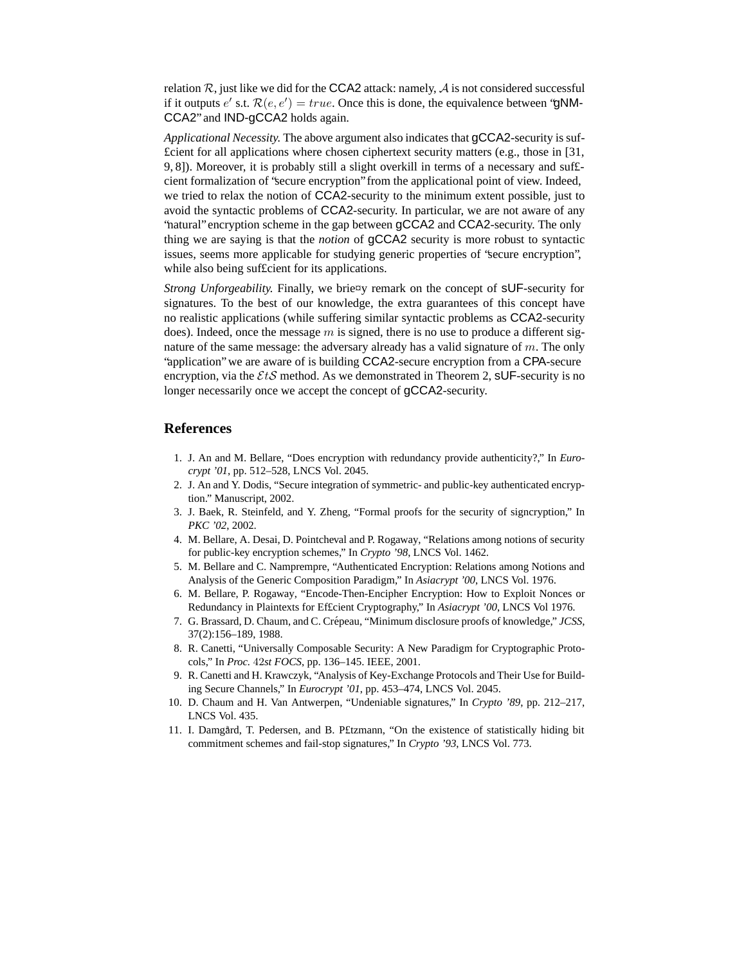relation  $R$ , just like we did for the CCA2 attack: namely,  $A$  is not considered successful if it outputs  $e'$  s.t.  $\mathcal{R}(e, e') = true$ . Once this is done, the equivalence between 'gNM-CCA2" and IND-gCCA2 holds again.

*Applicational Necessity.* The above argument also indicates that gCCA2-security is suf- £cient for all applications where chosen ciphertext security matters (e.g., those in [31, 9, 8]). Moreover, it is probably still a slight overkill in terms of a necessary and suf£ cient formalization of "secure encryption" from the applicational point of view. Indeed, we tried to relax the notion of CCA2-security to the minimum extent possible, just to avoid the syntactic problems of CCA2-security. In particular, we are not aware of any "natural" encryption scheme in the gap between gCCA2 and CCA2-security. The only thing we are saying is that the *notion* of gCCA2 security is more robust to syntactic issues, seems more applicable for studying generic properties of "secure encryption", while also being suf£cient for its applications.

*Strong Unforgeability.* Finally, we brie¤y remark on the concept of sUF-security for signatures. To the best of our knowledge, the extra guarantees of this concept have no realistic applications (while suffering similar syntactic problems as CCA2-security does). Indeed, once the message  $m$  is signed, there is no use to produce a different signature of the same message: the adversary already has a valid signature of  $m$ . The only "application" we are aware of is building CCA2-secure encryption from a CPA-secure encryption, via the  $E$ t $S$  method. As we demonstrated in Theorem 2,  $S \cup F$ -security is no longer necessarily once we accept the concept of gCCA2-security.

# **References**

- 1. J. An and M. Bellare, "Does encryption with redundancy provide authenticity?," In *Eurocrypt '01*, pp. 512–528, LNCS Vol. 2045.
- 2. J. An and Y. Dodis, "Secure integration of symmetric- and public-key authenticated encryption." Manuscript, 2002.
- 3. J. Baek, R. Steinfeld, and Y. Zheng, "Formal proofs for the security of signcryption," In *PKC '02*, 2002.
- 4. M. Bellare, A. Desai, D. Pointcheval and P. Rogaway, "Relations among notions of security for public-key encryption schemes," In *Crypto '98*, LNCS Vol. 1462.
- 5. M. Bellare and C. Namprempre, "Authenticated Encryption: Relations among Notions and Analysis of the Generic Composition Paradigm," In *Asiacrypt '00*, LNCS Vol. 1976.
- 6. M. Bellare, P. Rogaway, "Encode-Then-Encipher Encryption: How to Exploit Nonces or Redundancy in Plaintexts for Ef£cient Cryptography," In *Asiacrypt '00*, LNCS Vol 1976.
- 7. G. Brassard, D. Chaum, and C. Crepeau, ´ "Minimum disclosure proofs of knowledge," *JCSS*, 37(2):156–189, 1988.
- 8. R. Canetti, "Universally Composable Security: A New Paradigm for Cryptographic Protocols," In *Proc.* 42*st FOCS*, pp. 136–145. IEEE, 2001.
- 9. R. Canetti and H. Krawczyk, "Analysis of Key-Exchange Protocols and Their Use for Building Secure Channels," In *Eurocrypt '01*, pp. 453–474, LNCS Vol. 2045.
- 10. D. Chaum and H. Van Antwerpen, "Undeniable signatures," In *Crypto '89*, pp. 212–217, LNCS Vol. 435.
- 11. I. Damgård, T. Pedersen, and B. P£tzmann, "On the existence of statistically hiding bit commitment schemes and fail-stop signatures," In *Crypto '93*, LNCS Vol. 773.